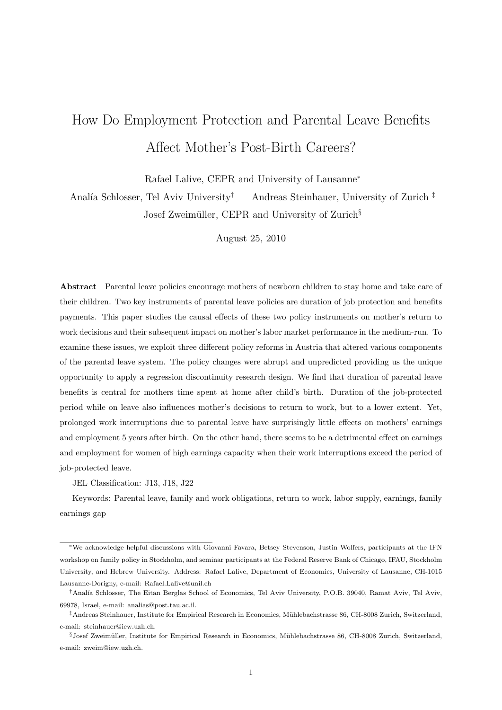# How Do Employment Protection and Parental Leave Benefits Affect Mother's Post-Birth Careers?

Rafael Lalive, CEPR and University of Lausanne<sup>∗</sup>

Analía Schlosser, Tel Aviv University<sup>†</sup> Andreas Steinhauer, University of Zurich  $\frac{1}{k}$ Josef Zweimüller, CEPR and University of Zurich<sup>§</sup>

August 25, 2010

Abstract Parental leave policies encourage mothers of newborn children to stay home and take care of their children. Two key instruments of parental leave policies are duration of job protection and benefits payments. This paper studies the causal effects of these two policy instruments on mother's return to work decisions and their subsequent impact on mother's labor market performance in the medium-run. To examine these issues, we exploit three different policy reforms in Austria that altered various components of the parental leave system. The policy changes were abrupt and unpredicted providing us the unique opportunity to apply a regression discontinuity research design. We find that duration of parental leave benefits is central for mothers time spent at home after child's birth. Duration of the job-protected period while on leave also influences mother's decisions to return to work, but to a lower extent. Yet, prolonged work interruptions due to parental leave have surprisingly little effects on mothers' earnings and employment 5 years after birth. On the other hand, there seems to be a detrimental effect on earnings and employment for women of high earnings capacity when their work interruptions exceed the period of job-protected leave.

JEL Classification: J13, J18, J22

Keywords: Parental leave, family and work obligations, return to work, labor supply, earnings, family earnings gap

<sup>∗</sup>We acknowledge helpful discussions with Giovanni Favara, Betsey Stevenson, Justin Wolfers, participants at the IFN workshop on family policy in Stockholm, and seminar participants at the Federal Reserve Bank of Chicago, IFAU, Stockholm University, and Hebrew University. Address: Rafael Lalive, Department of Economics, University of Lausanne, CH-1015 Lausanne-Dorigny, e-mail: Rafael.Lalive@unil.ch

<sup>†</sup>Anal´ıa Schlosser, The Eitan Berglas School of Economics, Tel Aviv University, P.O.B. 39040, Ramat Aviv, Tel Aviv, 69978, Israel, e-mail: analias@post.tau.ac.il.

<sup>‡</sup>Andreas Steinhauer, Institute for Empirical Research in Economics, M¨uhlebachstrasse 86, CH-8008 Zurich, Switzerland, e-mail: steinhauer@iew.uzh.ch.

<sup>§</sup>Josef Zweimüller, Institute for Empirical Research in Economics, Mühlebachstrasse 86, CH-8008 Zurich, Switzerland, e-mail: zweim@iew.uzh.ch.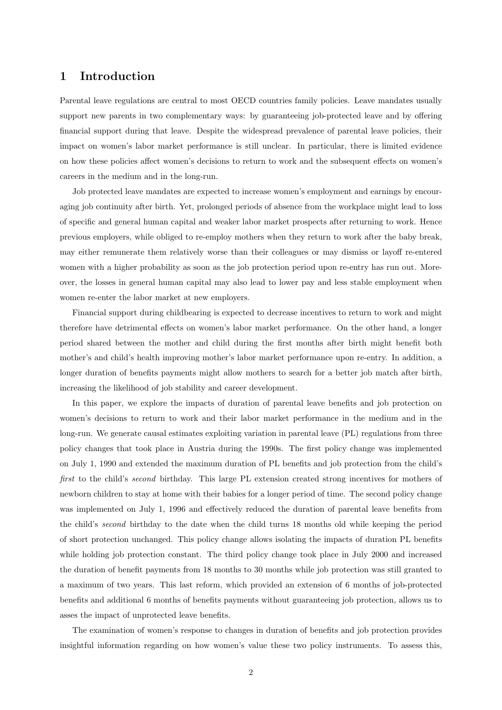## 1 Introduction

Parental leave regulations are central to most OECD countries family policies. Leave mandates usually support new parents in two complementary ways: by guaranteeing job-protected leave and by offering financial support during that leave. Despite the widespread prevalence of parental leave policies, their impact on women's labor market performance is still unclear. In particular, there is limited evidence on how these policies affect women's decisions to return to work and the subsequent effects on women's careers in the medium and in the long-run.

Job protected leave mandates are expected to increase women's employment and earnings by encouraging job continuity after birth. Yet, prolonged periods of absence from the workplace might lead to loss of specific and general human capital and weaker labor market prospects after returning to work. Hence previous employers, while obliged to re-employ mothers when they return to work after the baby break, may either remunerate them relatively worse than their colleagues or may dismiss or layoff re-entered women with a higher probability as soon as the job protection period upon re-entry has run out. Moreover, the losses in general human capital may also lead to lower pay and less stable employment when women re-enter the labor market at new employers.

Financial support during childbearing is expected to decrease incentives to return to work and might therefore have detrimental effects on women's labor market performance. On the other hand, a longer period shared between the mother and child during the first months after birth might benefit both mother's and child's health improving mother's labor market performance upon re-entry. In addition, a longer duration of benefits payments might allow mothers to search for a better job match after birth, increasing the likelihood of job stability and career development.

In this paper, we explore the impacts of duration of parental leave benefits and job protection on women's decisions to return to work and their labor market performance in the medium and in the long-run. We generate causal estimates exploiting variation in parental leave (PL) regulations from three policy changes that took place in Austria during the 1990s. The first policy change was implemented on July 1, 1990 and extended the maximum duration of PL benefits and job protection from the child's first to the child's second birthday. This large PL extension created strong incentives for mothers of newborn children to stay at home with their babies for a longer period of time. The second policy change was implemented on July 1, 1996 and effectively reduced the duration of parental leave benefits from the child's second birthday to the date when the child turns 18 months old while keeping the period of short protection unchanged. This policy change allows isolating the impacts of duration PL benefits while holding job protection constant. The third policy change took place in July 2000 and increased the duration of benefit payments from 18 months to 30 months while job protection was still granted to a maximum of two years. This last reform, which provided an extension of 6 months of job-protected benefits and additional 6 months of benefits payments without guaranteeing job protection, allows us to asses the impact of unprotected leave benefits.

The examination of women's response to changes in duration of benefits and job protection provides insightful information regarding on how women's value these two policy instruments. To assess this,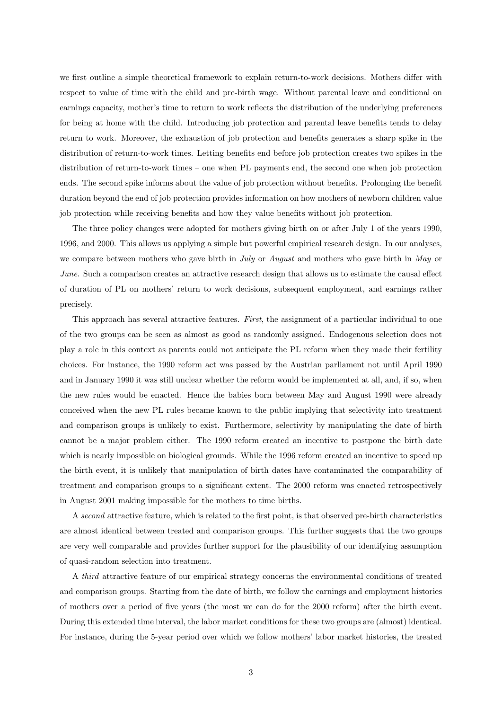we first outline a simple theoretical framework to explain return-to-work decisions. Mothers differ with respect to value of time with the child and pre-birth wage. Without parental leave and conditional on earnings capacity, mother's time to return to work reflects the distribution of the underlying preferences for being at home with the child. Introducing job protection and parental leave benefits tends to delay return to work. Moreover, the exhaustion of job protection and benefits generates a sharp spike in the distribution of return-to-work times. Letting benefits end before job protection creates two spikes in the distribution of return-to-work times – one when PL payments end, the second one when job protection ends. The second spike informs about the value of job protection without benefits. Prolonging the benefit duration beyond the end of job protection provides information on how mothers of newborn children value job protection while receiving benefits and how they value benefits without job protection.

The three policy changes were adopted for mothers giving birth on or after July 1 of the years 1990, 1996, and 2000. This allows us applying a simple but powerful empirical research design. In our analyses, we compare between mothers who gave birth in July or August and mothers who gave birth in May or June. Such a comparison creates an attractive research design that allows us to estimate the causal effect of duration of PL on mothers' return to work decisions, subsequent employment, and earnings rather precisely.

This approach has several attractive features. First, the assignment of a particular individual to one of the two groups can be seen as almost as good as randomly assigned. Endogenous selection does not play a role in this context as parents could not anticipate the PL reform when they made their fertility choices. For instance, the 1990 reform act was passed by the Austrian parliament not until April 1990 and in January 1990 it was still unclear whether the reform would be implemented at all, and, if so, when the new rules would be enacted. Hence the babies born between May and August 1990 were already conceived when the new PL rules became known to the public implying that selectivity into treatment and comparison groups is unlikely to exist. Furthermore, selectivity by manipulating the date of birth cannot be a major problem either. The 1990 reform created an incentive to postpone the birth date which is nearly impossible on biological grounds. While the 1996 reform created an incentive to speed up the birth event, it is unlikely that manipulation of birth dates have contaminated the comparability of treatment and comparison groups to a significant extent. The 2000 reform was enacted retrospectively in August 2001 making impossible for the mothers to time births.

A second attractive feature, which is related to the first point, is that observed pre-birth characteristics are almost identical between treated and comparison groups. This further suggests that the two groups are very well comparable and provides further support for the plausibility of our identifying assumption of quasi-random selection into treatment.

A third attractive feature of our empirical strategy concerns the environmental conditions of treated and comparison groups. Starting from the date of birth, we follow the earnings and employment histories of mothers over a period of five years (the most we can do for the 2000 reform) after the birth event. During this extended time interval, the labor market conditions for these two groups are (almost) identical. For instance, during the 5-year period over which we follow mothers' labor market histories, the treated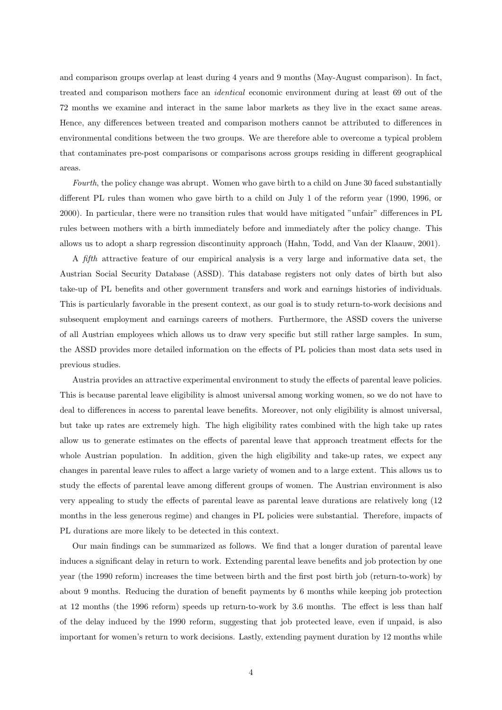and comparison groups overlap at least during 4 years and 9 months (May-August comparison). In fact, treated and comparison mothers face an identical economic environment during at least 69 out of the 72 months we examine and interact in the same labor markets as they live in the exact same areas. Hence, any differences between treated and comparison mothers cannot be attributed to differences in environmental conditions between the two groups. We are therefore able to overcome a typical problem that contaminates pre-post comparisons or comparisons across groups residing in different geographical areas.

Fourth, the policy change was abrupt. Women who gave birth to a child on June 30 faced substantially different PL rules than women who gave birth to a child on July 1 of the reform year (1990, 1996, or 2000). In particular, there were no transition rules that would have mitigated "unfair" differences in PL rules between mothers with a birth immediately before and immediately after the policy change. This allows us to adopt a sharp regression discontinuity approach (Hahn, Todd, and Van der Klaauw, 2001).

A fifth attractive feature of our empirical analysis is a very large and informative data set, the Austrian Social Security Database (ASSD). This database registers not only dates of birth but also take-up of PL benefits and other government transfers and work and earnings histories of individuals. This is particularly favorable in the present context, as our goal is to study return-to-work decisions and subsequent employment and earnings careers of mothers. Furthermore, the ASSD covers the universe of all Austrian employees which allows us to draw very specific but still rather large samples. In sum, the ASSD provides more detailed information on the effects of PL policies than most data sets used in previous studies.

Austria provides an attractive experimental environment to study the effects of parental leave policies. This is because parental leave eligibility is almost universal among working women, so we do not have to deal to differences in access to parental leave benefits. Moreover, not only eligibility is almost universal, but take up rates are extremely high. The high eligibility rates combined with the high take up rates allow us to generate estimates on the effects of parental leave that approach treatment effects for the whole Austrian population. In addition, given the high eligibility and take-up rates, we expect any changes in parental leave rules to affect a large variety of women and to a large extent. This allows us to study the effects of parental leave among different groups of women. The Austrian environment is also very appealing to study the effects of parental leave as parental leave durations are relatively long (12 months in the less generous regime) and changes in PL policies were substantial. Therefore, impacts of PL durations are more likely to be detected in this context.

Our main findings can be summarized as follows. We find that a longer duration of parental leave induces a significant delay in return to work. Extending parental leave benefits and job protection by one year (the 1990 reform) increases the time between birth and the first post birth job (return-to-work) by about 9 months. Reducing the duration of benefit payments by 6 months while keeping job protection at 12 months (the 1996 reform) speeds up return-to-work by 3.6 months. The effect is less than half of the delay induced by the 1990 reform, suggesting that job protected leave, even if unpaid, is also important for women's return to work decisions. Lastly, extending payment duration by 12 months while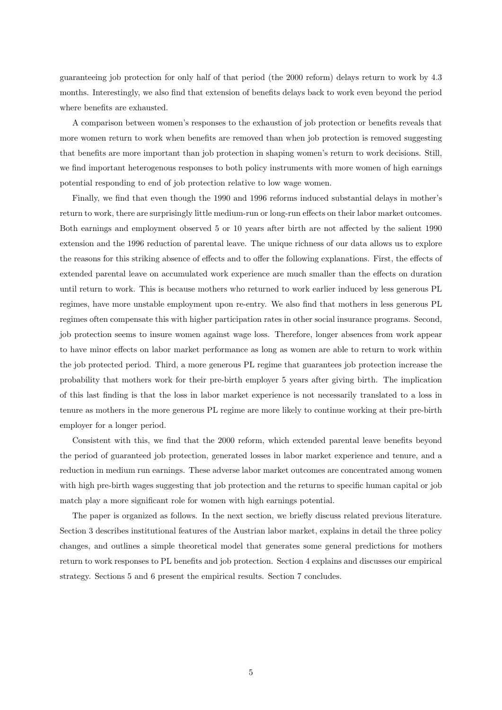guaranteeing job protection for only half of that period (the 2000 reform) delays return to work by 4.3 months. Interestingly, we also find that extension of benefits delays back to work even beyond the period where benefits are exhausted.

A comparison between women's responses to the exhaustion of job protection or benefits reveals that more women return to work when benefits are removed than when job protection is removed suggesting that benefits are more important than job protection in shaping women's return to work decisions. Still, we find important heterogenous responses to both policy instruments with more women of high earnings potential responding to end of job protection relative to low wage women.

Finally, we find that even though the 1990 and 1996 reforms induced substantial delays in mother's return to work, there are surprisingly little medium-run or long-run effects on their labor market outcomes. Both earnings and employment observed 5 or 10 years after birth are not affected by the salient 1990 extension and the 1996 reduction of parental leave. The unique richness of our data allows us to explore the reasons for this striking absence of effects and to offer the following explanations. First, the effects of extended parental leave on accumulated work experience are much smaller than the effects on duration until return to work. This is because mothers who returned to work earlier induced by less generous PL regimes, have more unstable employment upon re-entry. We also find that mothers in less generous PL regimes often compensate this with higher participation rates in other social insurance programs. Second, job protection seems to insure women against wage loss. Therefore, longer absences from work appear to have minor effects on labor market performance as long as women are able to return to work within the job protected period. Third, a more generous PL regime that guarantees job protection increase the probability that mothers work for their pre-birth employer 5 years after giving birth. The implication of this last finding is that the loss in labor market experience is not necessarily translated to a loss in tenure as mothers in the more generous PL regime are more likely to continue working at their pre-birth employer for a longer period.

Consistent with this, we find that the 2000 reform, which extended parental leave benefits beyond the period of guaranteed job protection, generated losses in labor market experience and tenure, and a reduction in medium run earnings. These adverse labor market outcomes are concentrated among women with high pre-birth wages suggesting that job protection and the returns to specific human capital or job match play a more significant role for women with high earnings potential.

The paper is organized as follows. In the next section, we briefly discuss related previous literature. Section 3 describes institutional features of the Austrian labor market, explains in detail the three policy changes, and outlines a simple theoretical model that generates some general predictions for mothers return to work responses to PL benefits and job protection. Section 4 explains and discusses our empirical strategy. Sections 5 and 6 present the empirical results. Section 7 concludes.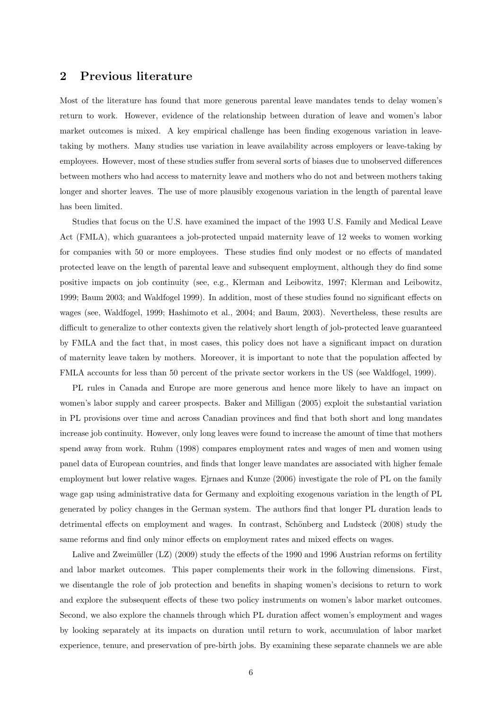## 2 Previous literature

Most of the literature has found that more generous parental leave mandates tends to delay women's return to work. However, evidence of the relationship between duration of leave and women's labor market outcomes is mixed. A key empirical challenge has been finding exogenous variation in leavetaking by mothers. Many studies use variation in leave availability across employers or leave-taking by employees. However, most of these studies suffer from several sorts of biases due to unobserved differences between mothers who had access to maternity leave and mothers who do not and between mothers taking longer and shorter leaves. The use of more plausibly exogenous variation in the length of parental leave has been limited.

Studies that focus on the U.S. have examined the impact of the 1993 U.S. Family and Medical Leave Act (FMLA), which guarantees a job-protected unpaid maternity leave of 12 weeks to women working for companies with 50 or more employees. These studies find only modest or no effects of mandated protected leave on the length of parental leave and subsequent employment, although they do find some positive impacts on job continuity (see, e.g., Klerman and Leibowitz, 1997; Klerman and Leibowitz, 1999; Baum 2003; and Waldfogel 1999). In addition, most of these studies found no significant effects on wages (see, Waldfogel, 1999; Hashimoto et al., 2004; and Baum, 2003). Nevertheless, these results are difficult to generalize to other contexts given the relatively short length of job-protected leave guaranteed by FMLA and the fact that, in most cases, this policy does not have a significant impact on duration of maternity leave taken by mothers. Moreover, it is important to note that the population affected by FMLA accounts for less than 50 percent of the private sector workers in the US (see Waldfogel, 1999).

PL rules in Canada and Europe are more generous and hence more likely to have an impact on women's labor supply and career prospects. Baker and Milligan (2005) exploit the substantial variation in PL provisions over time and across Canadian provinces and find that both short and long mandates increase job continuity. However, only long leaves were found to increase the amount of time that mothers spend away from work. Ruhm (1998) compares employment rates and wages of men and women using panel data of European countries, and finds that longer leave mandates are associated with higher female employment but lower relative wages. Ejrnaes and Kunze (2006) investigate the role of PL on the family wage gap using administrative data for Germany and exploiting exogenous variation in the length of PL generated by policy changes in the German system. The authors find that longer PL duration leads to detrimental effects on employment and wages. In contrast, Schönberg and Ludsteck (2008) study the same reforms and find only minor effects on employment rates and mixed effects on wages.

Lalive and Zweimüller  $(LZ)$  (2009) study the effects of the 1990 and 1996 Austrian reforms on fertility and labor market outcomes. This paper complements their work in the following dimensions. First, we disentangle the role of job protection and benefits in shaping women's decisions to return to work and explore the subsequent effects of these two policy instruments on women's labor market outcomes. Second, we also explore the channels through which PL duration affect women's employment and wages by looking separately at its impacts on duration until return to work, accumulation of labor market experience, tenure, and preservation of pre-birth jobs. By examining these separate channels we are able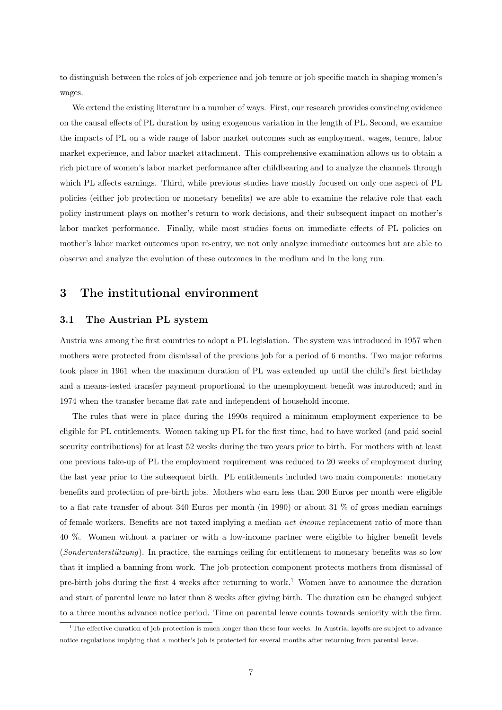to distinguish between the roles of job experience and job tenure or job specific match in shaping women's wages.

We extend the existing literature in a number of ways. First, our research provides convincing evidence on the causal effects of PL duration by using exogenous variation in the length of PL. Second, we examine the impacts of PL on a wide range of labor market outcomes such as employment, wages, tenure, labor market experience, and labor market attachment. This comprehensive examination allows us to obtain a rich picture of women's labor market performance after childbearing and to analyze the channels through which PL affects earnings. Third, while previous studies have mostly focused on only one aspect of PL policies (either job protection or monetary benefits) we are able to examine the relative role that each policy instrument plays on mother's return to work decisions, and their subsequent impact on mother's labor market performance. Finally, while most studies focus on immediate effects of PL policies on mother's labor market outcomes upon re-entry, we not only analyze immediate outcomes but are able to observe and analyze the evolution of these outcomes in the medium and in the long run.

## 3 The institutional environment

#### 3.1 The Austrian PL system

Austria was among the first countries to adopt a PL legislation. The system was introduced in 1957 when mothers were protected from dismissal of the previous job for a period of 6 months. Two major reforms took place in 1961 when the maximum duration of PL was extended up until the child's first birthday and a means-tested transfer payment proportional to the unemployment benefit was introduced; and in 1974 when the transfer became flat rate and independent of household income.

The rules that were in place during the 1990s required a minimum employment experience to be eligible for PL entitlements. Women taking up PL for the first time, had to have worked (and paid social security contributions) for at least 52 weeks during the two years prior to birth. For mothers with at least one previous take-up of PL the employment requirement was reduced to 20 weeks of employment during the last year prior to the subsequent birth. PL entitlements included two main components: monetary benefits and protection of pre-birth jobs. Mothers who earn less than 200 Euros per month were eligible to a flat rate transfer of about 340 Euros per month (in 1990) or about 31 % of gross median earnings of female workers. Benefits are not taxed implying a median net income replacement ratio of more than 40 %. Women without a partner or with a low-income partner were eligible to higher benefit levels (Sonderunterstützung). In practice, the earnings ceiling for entitlement to monetary benefits was so low that it implied a banning from work. The job protection component protects mothers from dismissal of pre-birth jobs during the first 4 weeks after returning to work.<sup>1</sup> Women have to announce the duration and start of parental leave no later than 8 weeks after giving birth. The duration can be changed subject to a three months advance notice period. Time on parental leave counts towards seniority with the firm.

<sup>&</sup>lt;sup>1</sup>The effective duration of job protection is much longer than these four weeks. In Austria, layoffs are subject to advance notice regulations implying that a mother's job is protected for several months after returning from parental leave.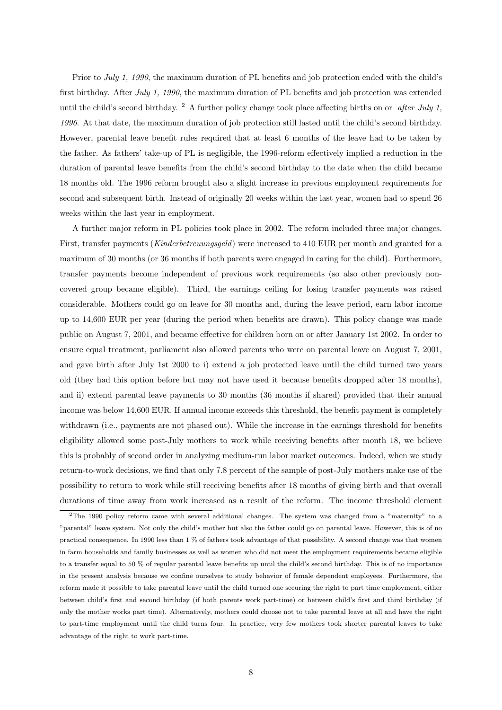Prior to July 1, 1990, the maximum duration of PL benefits and job protection ended with the child's first birthday. After July 1, 1990, the maximum duration of PL benefits and job protection was extended until the child's second birthday. <sup>2</sup> A further policy change took place affecting births on or *after July 1*, 1996. At that date, the maximum duration of job protection still lasted until the child's second birthday. However, parental leave benefit rules required that at least 6 months of the leave had to be taken by the father. As fathers' take-up of PL is negligible, the 1996-reform effectively implied a reduction in the duration of parental leave benefits from the child's second birthday to the date when the child became 18 months old. The 1996 reform brought also a slight increase in previous employment requirements for second and subsequent birth. Instead of originally 20 weeks within the last year, women had to spend 26 weeks within the last year in employment.

A further major reform in PL policies took place in 2002. The reform included three major changes. First, transfer payments (Kinderbetreuungsgeld) were increased to 410 EUR per month and granted for a maximum of 30 months (or 36 months if both parents were engaged in caring for the child). Furthermore, transfer payments become independent of previous work requirements (so also other previously noncovered group became eligible). Third, the earnings ceiling for losing transfer payments was raised considerable. Mothers could go on leave for 30 months and, during the leave period, earn labor income up to 14,600 EUR per year (during the period when benefits are drawn). This policy change was made public on August 7, 2001, and became effective for children born on or after January 1st 2002. In order to ensure equal treatment, parliament also allowed parents who were on parental leave on August 7, 2001, and gave birth after July 1st 2000 to i) extend a job protected leave until the child turned two years old (they had this option before but may not have used it because benefits dropped after 18 months), and ii) extend parental leave payments to 30 months (36 months if shared) provided that their annual income was below 14,600 EUR. If annual income exceeds this threshold, the benefit payment is completely withdrawn (i.e., payments are not phased out). While the increase in the earnings threshold for benefits eligibility allowed some post-July mothers to work while receiving benefits after month 18, we believe this is probably of second order in analyzing medium-run labor market outcomes. Indeed, when we study return-to-work decisions, we find that only 7.8 percent of the sample of post-July mothers make use of the possibility to return to work while still receiving benefits after 18 months of giving birth and that overall durations of time away from work increased as a result of the reform. The income threshold element

<sup>&</sup>lt;sup>2</sup>The 1990 policy reform came with several additional changes. The system was changed from a "maternity" to a "parental" leave system. Not only the child's mother but also the father could go on parental leave. However, this is of no practical consequence. In 1990 less than 1 % of fathers took advantage of that possibility. A second change was that women in farm households and family businesses as well as women who did not meet the employment requirements became eligible to a transfer equal to 50 % of regular parental leave benefits up until the child's second birthday. This is of no importance in the present analysis because we confine ourselves to study behavior of female dependent employees. Furthermore, the reform made it possible to take parental leave until the child turned one securing the right to part time employment, either between child's first and second birthday (if both parents work part-time) or between child's first and third birthday (if only the mother works part time). Alternatively, mothers could choose not to take parental leave at all and have the right to part-time employment until the child turns four. In practice, very few mothers took shorter parental leaves to take advantage of the right to work part-time.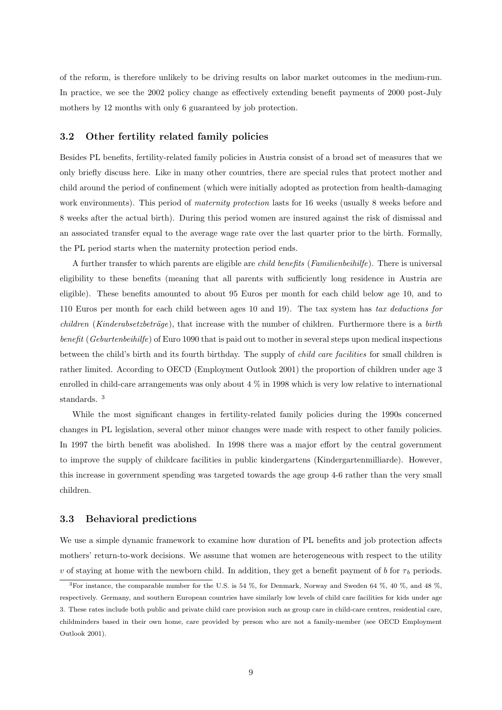of the reform, is therefore unlikely to be driving results on labor market outcomes in the medium-run. In practice, we see the 2002 policy change as effectively extending benefit payments of 2000 post-July mothers by 12 months with only 6 guaranteed by job protection.

#### 3.2 Other fertility related family policies

Besides PL benefits, fertility-related family policies in Austria consist of a broad set of measures that we only briefly discuss here. Like in many other countries, there are special rules that protect mother and child around the period of confinement (which were initially adopted as protection from health-damaging work environments). This period of *maternity protection* lasts for 16 weeks (usually 8 weeks before and 8 weeks after the actual birth). During this period women are insured against the risk of dismissal and an associated transfer equal to the average wage rate over the last quarter prior to the birth. Formally, the PL period starts when the maternity protection period ends.

A further transfer to which parents are eligible are child benefits (Familienbeihilfe). There is universal eligibility to these benefits (meaning that all parents with sufficiently long residence in Austria are eligible). These benefits amounted to about 95 Euros per month for each child below age 10, and to 110 Euros per month for each child between ages 10 and 19). The tax system has tax deductions for  $children$  (Kinderabsetzbeträge), that increase with the number of children. Furthermore there is a birth benefit (Geburtenbeihilfe) of Euro 1090 that is paid out to mother in several steps upon medical inspections between the child's birth and its fourth birthday. The supply of child care facilities for small children is rather limited. According to OECD (Employment Outlook 2001) the proportion of children under age 3 enrolled in child-care arrangements was only about 4 % in 1998 which is very low relative to international standards. <sup>3</sup>

While the most significant changes in fertility-related family policies during the 1990s concerned changes in PL legislation, several other minor changes were made with respect to other family policies. In 1997 the birth benefit was abolished. In 1998 there was a major effort by the central government to improve the supply of childcare facilities in public kindergartens (Kindergartenmilliarde). However, this increase in government spending was targeted towards the age group 4-6 rather than the very small children.

#### 3.3 Behavioral predictions

We use a simple dynamic framework to examine how duration of PL benefits and job protection affects mothers' return-to-work decisions. We assume that women are heterogeneous with respect to the utility v of staying at home with the newborn child. In addition, they get a benefit payment of b for  $\tau_b$  periods.

<sup>3</sup>For instance, the comparable number for the U.S. is 54 %, for Denmark, Norway and Sweden 64 %, 40 %, and 48 %, respectively. Germany, and southern European countries have similarly low levels of child care facilities for kids under age 3. These rates include both public and private child care provision such as group care in child-care centres, residential care, childminders based in their own home, care provided by person who are not a family-member (see OECD Employment Outlook 2001).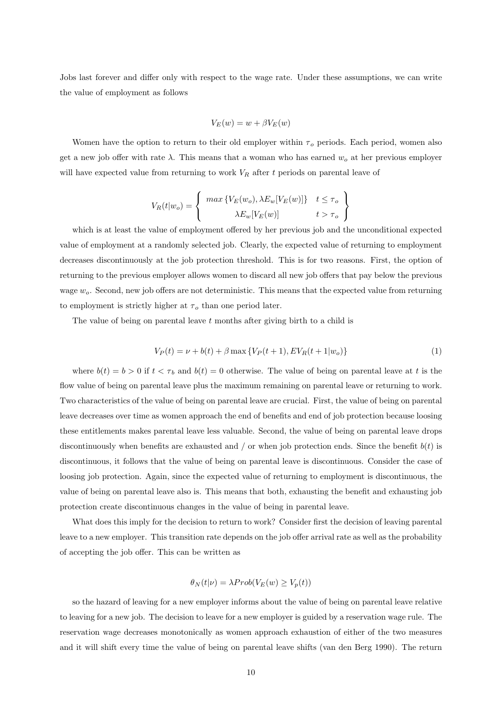Jobs last forever and differ only with respect to the wage rate. Under these assumptions, we can write the value of employment as follows

$$
V_E(w) = w + \beta V_E(w)
$$

Women have the option to return to their old employer within  $\tau_o$  periods. Each period, women also get a new job offer with rate  $\lambda$ . This means that a woman who has earned  $w<sub>o</sub>$  at her previous employer will have expected value from returning to work  $V_R$  after t periods on parental leave of

$$
V_R(t|w_o) = \begin{cases} \max \{ V_E(w_o), \lambda E_w[V_E(w)] \} & t \le \tau_o \\ \lambda E_w[V_E(w)] & t > \tau_o \end{cases}
$$

which is at least the value of employment offered by her previous job and the unconditional expected value of employment at a randomly selected job. Clearly, the expected value of returning to employment decreases discontinuously at the job protection threshold. This is for two reasons. First, the option of returning to the previous employer allows women to discard all new job offers that pay below the previous wage  $w<sub>o</sub>$ . Second, new job offers are not deterministic. This means that the expected value from returning to employment is strictly higher at  $\tau_o$  than one period later.

The value of being on parental leave  $t$  months after giving birth to a child is

$$
V_P(t) = \nu + b(t) + \beta \max \{ V_P(t+1), E V_R(t+1|w_o) \}
$$
 (1)

where  $b(t) = b > 0$  if  $t < \tau_b$  and  $b(t) = 0$  otherwise. The value of being on parental leave at t is the flow value of being on parental leave plus the maximum remaining on parental leave or returning to work. Two characteristics of the value of being on parental leave are crucial. First, the value of being on parental leave decreases over time as women approach the end of benefits and end of job protection because loosing these entitlements makes parental leave less valuable. Second, the value of being on parental leave drops discontinuously when benefits are exhausted and / or when job protection ends. Since the benefit  $b(t)$  is discontinuous, it follows that the value of being on parental leave is discontinuous. Consider the case of loosing job protection. Again, since the expected value of returning to employment is discontinuous, the value of being on parental leave also is. This means that both, exhausting the benefit and exhausting job protection create discontinuous changes in the value of being in parental leave.

What does this imply for the decision to return to work? Consider first the decision of leaving parental leave to a new employer. This transition rate depends on the job offer arrival rate as well as the probability of accepting the job offer. This can be written as

$$
\theta_N(t|\nu) = \lambda Prob(V_E(w) \ge V_p(t))
$$

so the hazard of leaving for a new employer informs about the value of being on parental leave relative to leaving for a new job. The decision to leave for a new employer is guided by a reservation wage rule. The reservation wage decreases monotonically as women approach exhaustion of either of the two measures and it will shift every time the value of being on parental leave shifts (van den Berg 1990). The return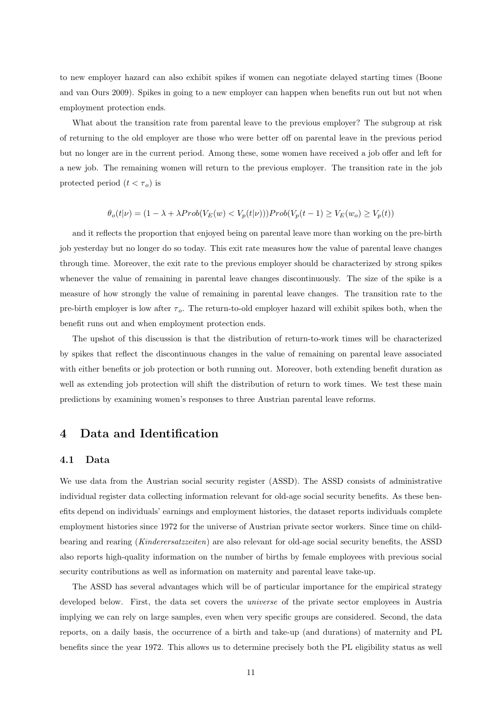to new employer hazard can also exhibit spikes if women can negotiate delayed starting times (Boone and van Ours 2009). Spikes in going to a new employer can happen when benefits run out but not when employment protection ends.

What about the transition rate from parental leave to the previous employer? The subgroup at risk of returning to the old employer are those who were better off on parental leave in the previous period but no longer are in the current period. Among these, some women have received a job offer and left for a new job. The remaining women will return to the previous employer. The transition rate in the job protected period  $(t < \tau_o)$  is

$$
\theta_o(t|\nu) = (1 - \lambda + \lambda Prob(V_E(w) < V_p(t|\nu))) Prob(V_p(t-1) \ge V_E(w_o) \ge V_p(t))
$$

and it reflects the proportion that enjoyed being on parental leave more than working on the pre-birth job yesterday but no longer do so today. This exit rate measures how the value of parental leave changes through time. Moreover, the exit rate to the previous employer should be characterized by strong spikes whenever the value of remaining in parental leave changes discontinuously. The size of the spike is a measure of how strongly the value of remaining in parental leave changes. The transition rate to the pre-birth employer is low after  $\tau_o$ . The return-to-old employer hazard will exhibit spikes both, when the benefit runs out and when employment protection ends.

The upshot of this discussion is that the distribution of return-to-work times will be characterized by spikes that reflect the discontinuous changes in the value of remaining on parental leave associated with either benefits or job protection or both running out. Moreover, both extending benefit duration as well as extending job protection will shift the distribution of return to work times. We test these main predictions by examining women's responses to three Austrian parental leave reforms.

## 4 Data and Identification

## 4.1 Data

We use data from the Austrian social security register (ASSD). The ASSD consists of administrative individual register data collecting information relevant for old-age social security benefits. As these benefits depend on individuals' earnings and employment histories, the dataset reports individuals complete employment histories since 1972 for the universe of Austrian private sector workers. Since time on childbearing and rearing (Kinderersatzzeiten) are also relevant for old-age social security benefits, the ASSD also reports high-quality information on the number of births by female employees with previous social security contributions as well as information on maternity and parental leave take-up.

The ASSD has several advantages which will be of particular importance for the empirical strategy developed below. First, the data set covers the *universe* of the private sector employees in Austria implying we can rely on large samples, even when very specific groups are considered. Second, the data reports, on a daily basis, the occurrence of a birth and take-up (and durations) of maternity and PL benefits since the year 1972. This allows us to determine precisely both the PL eligibility status as well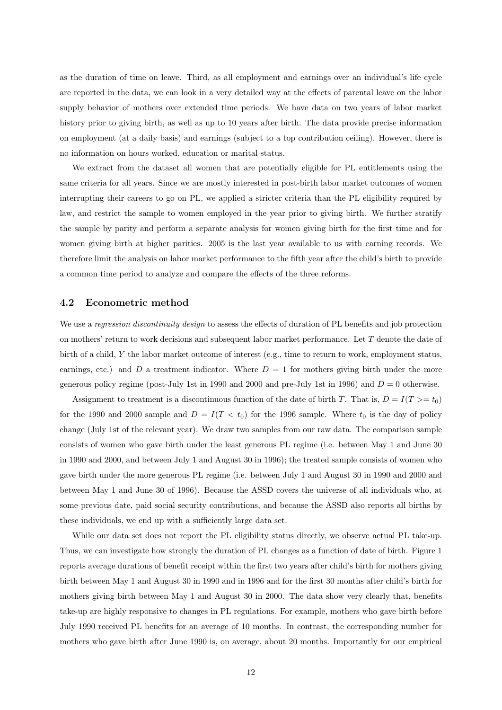as the duration of time on leave. Third, as all employment and earnings over an individual's life cycle are reported in the data, we can look in a very detailed way at the effects of parental leave on the labor supply behavior of mothers over extended time periods. We have data on two years of labor market history prior to giving birth, as well as up to 10 years after birth. The data provide precise information on employment (at a daily basis) and earnings (subject to a top contribution ceiling). However, there is no information on hours worked, education or marital status.

We extract from the dataset all women that are potentially eligible for PL entitlements using the same criteria for all years. Since we are mostly interested in post-birth labor market outcomes of women interrupting their careers to go on PL, we applied a stricter criteria than the PL eligibility required by law, and restrict the sample to women employed in the year prior to giving birth. We further stratify the sample by parity and perform a separate analysis for women giving birth for the first time and for women giving birth at higher parities. 2005 is the last year available to us with earning records. We therefore limit the analysis on labor market performance to the fifth year after the child's birth to provide a common time period to analyze and compare the effects of the three reforms.

#### 4.2 Econometric method

We use a regression discontinuity design to assess the effects of duration of PL benefits and job protection on mothers' return to work decisions and subsequent labor market performance. Let T denote the date of birth of a child, Y the labor market outcome of interest (e.g., time to return to work, employment status, earnings, etc.) and D a treatment indicator. Where  $D = 1$  for mothers giving birth under the more generous policy regime (post-July 1st in 1990 and 2000 and pre-July 1st in 1996) and  $D = 0$  otherwise.

Assignment to treatment is a discontinuous function of the date of birth T. That is,  $D = I(T) = t_0$ for the 1990 and 2000 sample and  $D = I(T < t_0)$  for the 1996 sample. Where  $t_0$  is the day of policy change (July 1st of the relevant year). We draw two samples from our raw data. The comparison sample consists of women who gave birth under the least generous PL regime (i.e. between May 1 and June 30 in 1990 and 2000, and between July 1 and August 30 in 1996); the treated sample consists of women who gave birth under the more generous PL regime (i.e. between July 1 and August 30 in 1990 and 2000 and between May 1 and June 30 of 1996). Because the ASSD covers the universe of all individuals who, at some previous date, paid social security contributions, and because the ASSD also reports all births by these individuals, we end up with a sufficiently large data set.

While our data set does not report the PL eligibility status directly, we observe actual PL take-up. Thus, we can investigate how strongly the duration of PL changes as a function of date of birth. Figure 1 reports average durations of benefit receipt within the first two years after child's birth for mothers giving birth between May 1 and August 30 in 1990 and in 1996 and for the first 30 months after child's birth for mothers giving birth between May 1 and August 30 in 2000. The data show very clearly that, benefits take-up are highly responsive to changes in PL regulations. For example, mothers who gave birth before July 1990 received PL benefits for an average of 10 months. In contrast, the corresponding number for mothers who gave birth after June 1990 is, on average, about 20 months. Importantly for our empirical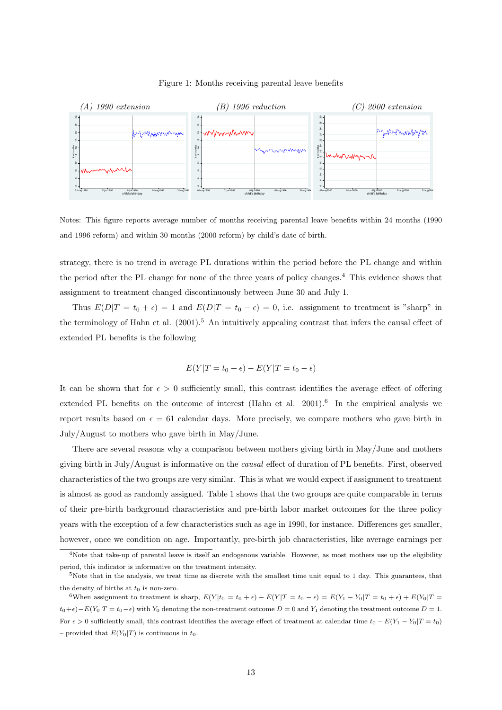

Figure 1: Months receiving parental leave benefits

Notes: This figure reports average number of months receiving parental leave benefits within 24 months (1990 and 1996 reform) and within 30 months (2000 reform) by child's date of birth.

strategy, there is no trend in average PL durations within the period before the PL change and within the period after the PL change for none of the three years of policy changes.<sup>4</sup> This evidence shows that assignment to treatment changed discontinuously between June 30 and July 1.

Thus  $E(D|T = t_0 + \epsilon) = 1$  and  $E(D|T = t_0 - \epsilon) = 0$ , i.e. assignment to treatment is "sharp" in the terminology of Hahn et al.  $(2001).<sup>5</sup>$  An intuitively appealing contrast that infers the causal effect of extended PL benefits is the following

$$
E(Y|T = t_0 + \epsilon) - E(Y|T = t_0 - \epsilon)
$$

It can be shown that for  $\epsilon > 0$  sufficiently small, this contrast identifies the average effect of offering extended PL benefits on the outcome of interest (Hahn et al.  $2001$ ).<sup>6</sup> In the empirical analysis we report results based on  $\epsilon = 61$  calendar days. More precisely, we compare mothers who gave birth in July/August to mothers who gave birth in May/June.

There are several reasons why a comparison between mothers giving birth in May/June and mothers giving birth in July/August is informative on the causal effect of duration of PL benefits. First, observed characteristics of the two groups are very similar. This is what we would expect if assignment to treatment is almost as good as randomly assigned. Table 1 shows that the two groups are quite comparable in terms of their pre-birth background characteristics and pre-birth labor market outcomes for the three policy years with the exception of a few characteristics such as age in 1990, for instance. Differences get smaller, however, once we condition on age. Importantly, pre-birth job characteristics, like average earnings per

 $\frac{4}{4}$ Note that take-up of parental leave is itself an endogenous variable. However, as most mothers use up the eligibility period, this indicator is informative on the treatment intensity.

 $5$ Note that in the analysis, we treat time as discrete with the smallest time unit equal to 1 day. This guarantees, that the density of births at  $t_0$  is non-zero.

<sup>&</sup>lt;sup>6</sup>When assignment to treatment is sharp,  $E(Y|t_0 = t_0 + \epsilon) - E(Y|T = t_0 - \epsilon) = E(Y_1 - Y_0|T = t_0 + \epsilon) + E(Y_0|T = t_0 + \epsilon)$  $t_0+\epsilon)-E(Y_0|T=t_0-\epsilon)$  with  $Y_0$  denoting the non-treatment outcome  $D=0$  and  $Y_1$  denoting the treatment outcome  $D=1$ . For  $\epsilon > 0$  sufficiently small, this contrast identifies the average effect of treatment at calendar time  $t_0 - E(Y_1 - Y_0)T = t_0$ – provided that  $E(Y_0|T)$  is continuous in  $t_0$ .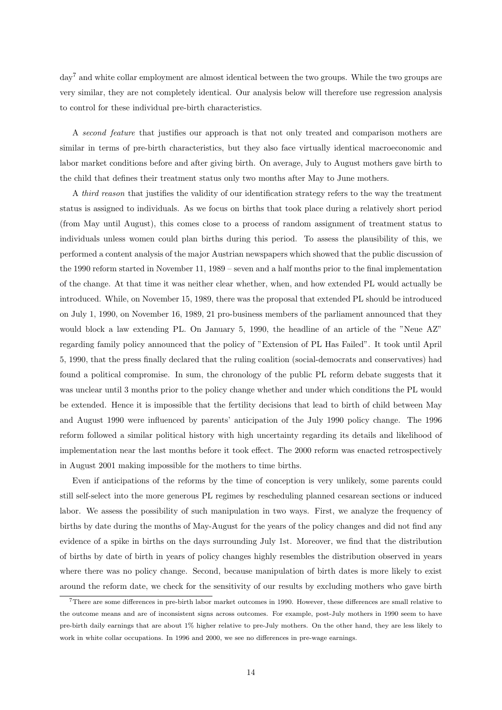day<sup>7</sup> and white collar employment are almost identical between the two groups. While the two groups are very similar, they are not completely identical. Our analysis below will therefore use regression analysis to control for these individual pre-birth characteristics.

A second feature that justifies our approach is that not only treated and comparison mothers are similar in terms of pre-birth characteristics, but they also face virtually identical macroeconomic and labor market conditions before and after giving birth. On average, July to August mothers gave birth to the child that defines their treatment status only two months after May to June mothers.

A third reason that justifies the validity of our identification strategy refers to the way the treatment status is assigned to individuals. As we focus on births that took place during a relatively short period (from May until August), this comes close to a process of random assignment of treatment status to individuals unless women could plan births during this period. To assess the plausibility of this, we performed a content analysis of the major Austrian newspapers which showed that the public discussion of the 1990 reform started in November 11, 1989 – seven and a half months prior to the final implementation of the change. At that time it was neither clear whether, when, and how extended PL would actually be introduced. While, on November 15, 1989, there was the proposal that extended PL should be introduced on July 1, 1990, on November 16, 1989, 21 pro-business members of the parliament announced that they would block a law extending PL. On January 5, 1990, the headline of an article of the "Neue AZ" regarding family policy announced that the policy of "Extension of PL Has Failed". It took until April 5, 1990, that the press finally declared that the ruling coalition (social-democrats and conservatives) had found a political compromise. In sum, the chronology of the public PL reform debate suggests that it was unclear until 3 months prior to the policy change whether and under which conditions the PL would be extended. Hence it is impossible that the fertility decisions that lead to birth of child between May and August 1990 were influenced by parents' anticipation of the July 1990 policy change. The 1996 reform followed a similar political history with high uncertainty regarding its details and likelihood of implementation near the last months before it took effect. The 2000 reform was enacted retrospectively in August 2001 making impossible for the mothers to time births.

Even if anticipations of the reforms by the time of conception is very unlikely, some parents could still self-select into the more generous PL regimes by rescheduling planned cesarean sections or induced labor. We assess the possibility of such manipulation in two ways. First, we analyze the frequency of births by date during the months of May-August for the years of the policy changes and did not find any evidence of a spike in births on the days surrounding July 1st. Moreover, we find that the distribution of births by date of birth in years of policy changes highly resembles the distribution observed in years where there was no policy change. Second, because manipulation of birth dates is more likely to exist around the reform date, we check for the sensitivity of our results by excluding mothers who gave birth

<sup>7</sup>There are some differences in pre-birth labor market outcomes in 1990. However, these differences are small relative to the outcome means and are of inconsistent signs across outcomes. For example, post-July mothers in 1990 seem to have pre-birth daily earnings that are about 1% higher relative to pre-July mothers. On the other hand, they are less likely to work in white collar occupations. In 1996 and 2000, we see no differences in pre-wage earnings.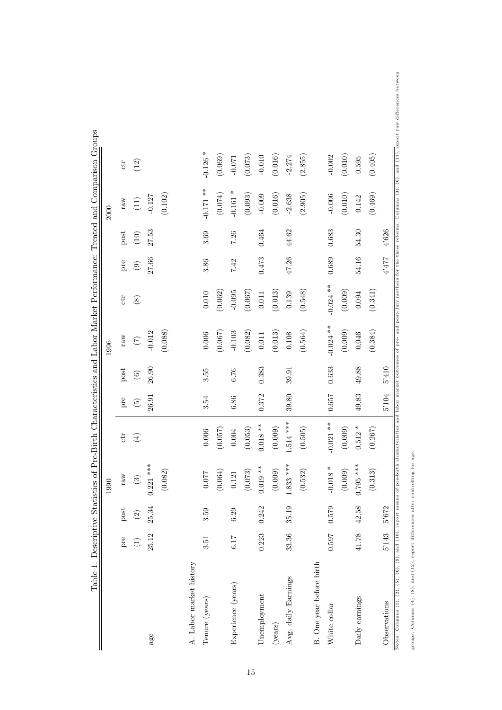|                          |       |                          | 1990                   |             |                          |                    | 1996        |               |                                |        | 2000               |                           |
|--------------------------|-------|--------------------------|------------------------|-------------|--------------------------|--------------------|-------------|---------------|--------------------------------|--------|--------------------|---------------------------|
|                          | pre   | post                     | raw                    | ctr         | pre                      | $_{\mathrm{post}}$ | raw         | ctt           | pre                            | post   | raw                | $\ensuremath{\text{ctr}}$ |
|                          | E     | $\widehat{\mathfrak{D}}$ | $\widehat{\mathbb{G}}$ | $\bigoplus$ | $\widetilde{\mathbf{G}}$ | $\copyright$       | $(\zeta)$   | $\circledast$ | $\textcircled{\scriptsize{1}}$ | $(10)$ | $\left( 11\right)$ | (12)                      |
| age                      | 25.12 | 25.34                    | $0.221$ ***            |             | 26.91                    | 26.90              | $-0.012$    |               | 27.66                          | 27.53  | $-0.127$           |                           |
|                          |       |                          | (0.082)                |             |                          |                    | (0.088)     |               |                                |        | (0.102)            |                           |
| A. Labor market history  |       |                          |                        |             |                          |                    |             |               |                                |        |                    |                           |
| Tenure (years)           | 3.51  | 3.59                     | 0.077                  | 0.006       | 3.54                     | 3.55               | 0.006       | 0.010         | 3.86                           | 3.69   | $-0.171$ **        | $-0.126$ *                |
|                          |       |                          | (0.064)                | (0.057)     |                          |                    | (0.067)     | (0.062)       |                                |        | (0.074)            | (0.069)                   |
| Experience (years)       | 6.17  | 6.29                     | 0.121                  | 0.004       | 6.86                     | 6.76               | $-0.103$    | $-0.095$      | 7.42                           | 7.26   | $-0.161$ *         | $-0.071$                  |
|                          |       |                          | (0.073)                | (0.053)     |                          |                    | (0.082)     | (0.067)       |                                |        | (0.093)            | (0.073)                   |
| Unemployment             | 0.223 | 0.242                    | $0.019**$              | $0.018**$   | 0.372                    | 0.383              | $0.011\,$   | 0.011         | 0.473                          | 0.464  | $-0.009$           | $-0.010$                  |
| (years)                  |       |                          | (0.009)                | (0.009)     |                          |                    | (0.013)     | (0.013)       |                                |        | (0.016)            | (0.016)                   |
| Avg. daily Earnings      | 33.36 | 35.19                    | $1.833***$             | $1.514$ *** | 39.80                    | 39.91              | $0.108\,$   | 0.139         | 47.26                          | 44.62  | $-2.638$           | $-2.274$                  |
|                          |       |                          | (0.532)                | (0.505)     |                          |                    | (0.564)     | (0.548)       |                                |        | (2.905)            | (2.855)                   |
| B. One year before birth |       |                          |                        |             |                          |                    |             |               |                                |        |                    |                           |
| White collar             | 0.597 | 0.579                    | $-0.018$ *             | $-0.021$ ** | 0.637                    | 0.633              | $-0.024$ ** | $-0.024$ **   | 0.689                          | 0.683  | $-0.006$           | $-0.002$                  |
|                          |       |                          | (0.009)                | (0.009)     |                          |                    | (0.009)     | (0.009)       |                                |        | (0.010)            | (0.010)                   |
| Daily earnings           | 41.78 | 42.58                    | $0.795***$             | $0.512 *$   | 49.83                    | 49.88              | 0.046       | 0.094         | 54.16                          | 54.30  | 0.142              | 0.595                     |
|                          |       |                          | (0.313)                | (0.267)     |                          |                    | (0.384)     | (0.341)       |                                |        | (0.469)            | (0.405)                   |
| Observations             | 5'143 | 5'672                    |                        |             | 5'104                    | 5'410              |             |               | 4'477                          | 4'626  |                    |                           |

groups. Columns (4), (8), and (12), report differences after controlling for age.

groups. Columns  $(4)$ ,  $(8)$ , and  $(12)$ , report differences after controlling for age.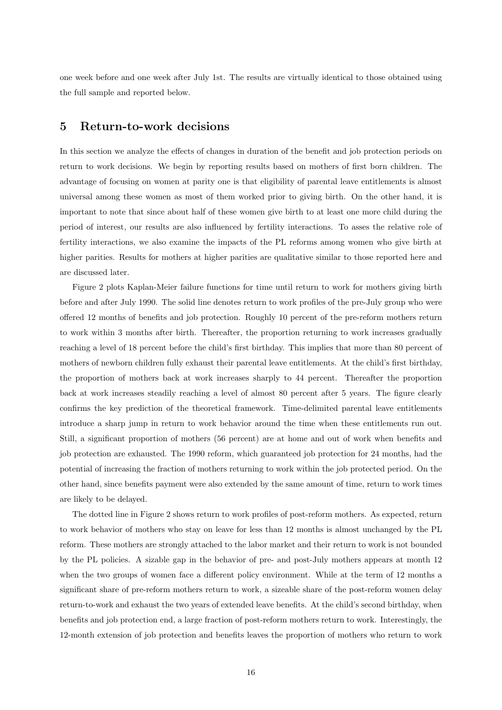one week before and one week after July 1st. The results are virtually identical to those obtained using the full sample and reported below.

## 5 Return-to-work decisions

In this section we analyze the effects of changes in duration of the benefit and job protection periods on return to work decisions. We begin by reporting results based on mothers of first born children. The advantage of focusing on women at parity one is that eligibility of parental leave entitlements is almost universal among these women as most of them worked prior to giving birth. On the other hand, it is important to note that since about half of these women give birth to at least one more child during the period of interest, our results are also influenced by fertility interactions. To asses the relative role of fertility interactions, we also examine the impacts of the PL reforms among women who give birth at higher parities. Results for mothers at higher parities are qualitative similar to those reported here and are discussed later.

Figure 2 plots Kaplan-Meier failure functions for time until return to work for mothers giving birth before and after July 1990. The solid line denotes return to work profiles of the pre-July group who were offered 12 months of benefits and job protection. Roughly 10 percent of the pre-reform mothers return to work within 3 months after birth. Thereafter, the proportion returning to work increases gradually reaching a level of 18 percent before the child's first birthday. This implies that more than 80 percent of mothers of newborn children fully exhaust their parental leave entitlements. At the child's first birthday, the proportion of mothers back at work increases sharply to 44 percent. Thereafter the proportion back at work increases steadily reaching a level of almost 80 percent after 5 years. The figure clearly confirms the key prediction of the theoretical framework. Time-delimited parental leave entitlements introduce a sharp jump in return to work behavior around the time when these entitlements run out. Still, a significant proportion of mothers (56 percent) are at home and out of work when benefits and job protection are exhausted. The 1990 reform, which guaranteed job protection for 24 months, had the potential of increasing the fraction of mothers returning to work within the job protected period. On the other hand, since benefits payment were also extended by the same amount of time, return to work times are likely to be delayed.

The dotted line in Figure 2 shows return to work profiles of post-reform mothers. As expected, return to work behavior of mothers who stay on leave for less than 12 months is almost unchanged by the PL reform. These mothers are strongly attached to the labor market and their return to work is not bounded by the PL policies. A sizable gap in the behavior of pre- and post-July mothers appears at month 12 when the two groups of women face a different policy environment. While at the term of 12 months a significant share of pre-reform mothers return to work, a sizeable share of the post-reform women delay return-to-work and exhaust the two years of extended leave benefits. At the child's second birthday, when benefits and job protection end, a large fraction of post-reform mothers return to work. Interestingly, the 12-month extension of job protection and benefits leaves the proportion of mothers who return to work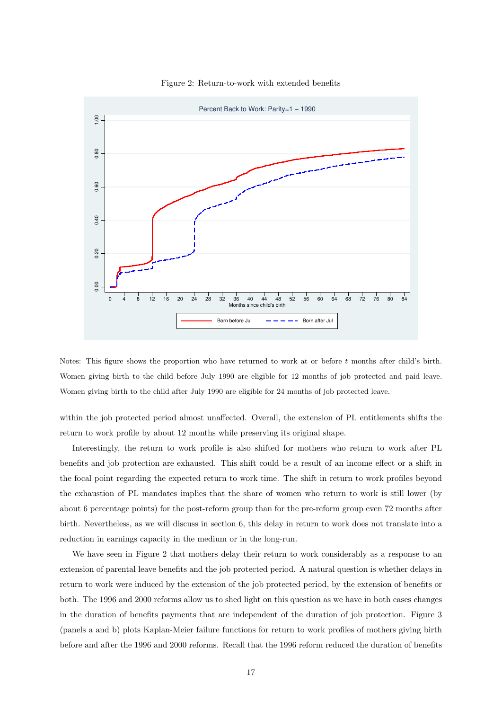

Figure 2: Return-to-work with extended benefits

Notes: This figure shows the proportion who have returned to work at or before t months after child's birth. Women giving birth to the child before July 1990 are eligible for 12 months of job protected and paid leave. Women giving birth to the child after July 1990 are eligible for 24 months of job protected leave.

within the job protected period almost unaffected. Overall, the extension of PL entitlements shifts the return to work profile by about 12 months while preserving its original shape.

Interestingly, the return to work profile is also shifted for mothers who return to work after PL benefits and job protection are exhausted. This shift could be a result of an income effect or a shift in the focal point regarding the expected return to work time. The shift in return to work profiles beyond the exhaustion of PL mandates implies that the share of women who return to work is still lower (by about 6 percentage points) for the post-reform group than for the pre-reform group even 72 months after birth. Nevertheless, as we will discuss in section 6, this delay in return to work does not translate into a reduction in earnings capacity in the medium or in the long-run.

We have seen in Figure 2 that mothers delay their return to work considerably as a response to an extension of parental leave benefits and the job protected period. A natural question is whether delays in return to work were induced by the extension of the job protected period, by the extension of benefits or both. The 1996 and 2000 reforms allow us to shed light on this question as we have in both cases changes in the duration of benefits payments that are independent of the duration of job protection. Figure 3 (panels a and b) plots Kaplan-Meier failure functions for return to work profiles of mothers giving birth before and after the 1996 and 2000 reforms. Recall that the 1996 reform reduced the duration of benefits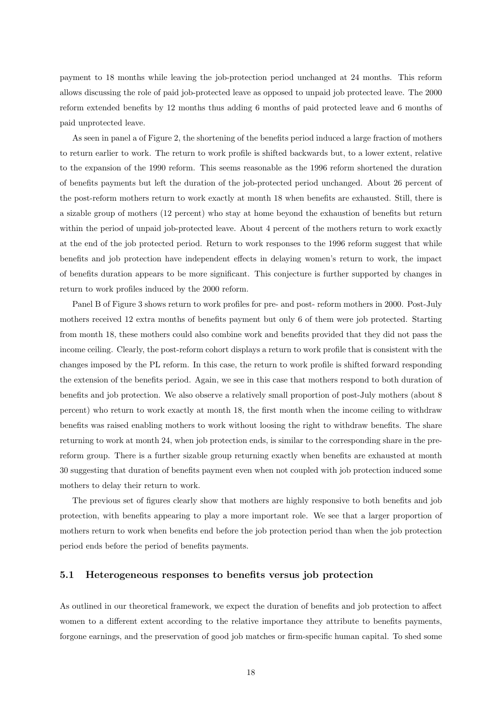payment to 18 months while leaving the job-protection period unchanged at 24 months. This reform allows discussing the role of paid job-protected leave as opposed to unpaid job protected leave. The 2000 reform extended benefits by 12 months thus adding 6 months of paid protected leave and 6 months of paid unprotected leave.

As seen in panel a of Figure 2, the shortening of the benefits period induced a large fraction of mothers to return earlier to work. The return to work profile is shifted backwards but, to a lower extent, relative to the expansion of the 1990 reform. This seems reasonable as the 1996 reform shortened the duration of benefits payments but left the duration of the job-protected period unchanged. About 26 percent of the post-reform mothers return to work exactly at month 18 when benefits are exhausted. Still, there is a sizable group of mothers (12 percent) who stay at home beyond the exhaustion of benefits but return within the period of unpaid job-protected leave. About 4 percent of the mothers return to work exactly at the end of the job protected period. Return to work responses to the 1996 reform suggest that while benefits and job protection have independent effects in delaying women's return to work, the impact of benefits duration appears to be more significant. This conjecture is further supported by changes in return to work profiles induced by the 2000 reform.

Panel B of Figure 3 shows return to work profiles for pre- and post- reform mothers in 2000. Post-July mothers received 12 extra months of benefits payment but only 6 of them were job protected. Starting from month 18, these mothers could also combine work and benefits provided that they did not pass the income ceiling. Clearly, the post-reform cohort displays a return to work profile that is consistent with the changes imposed by the PL reform. In this case, the return to work profile is shifted forward responding the extension of the benefits period. Again, we see in this case that mothers respond to both duration of benefits and job protection. We also observe a relatively small proportion of post-July mothers (about 8 percent) who return to work exactly at month 18, the first month when the income ceiling to withdraw benefits was raised enabling mothers to work without loosing the right to withdraw benefits. The share returning to work at month 24, when job protection ends, is similar to the corresponding share in the prereform group. There is a further sizable group returning exactly when benefits are exhausted at month 30 suggesting that duration of benefits payment even when not coupled with job protection induced some mothers to delay their return to work.

The previous set of figures clearly show that mothers are highly responsive to both benefits and job protection, with benefits appearing to play a more important role. We see that a larger proportion of mothers return to work when benefits end before the job protection period than when the job protection period ends before the period of benefits payments.

### 5.1 Heterogeneous responses to benefits versus job protection

As outlined in our theoretical framework, we expect the duration of benefits and job protection to affect women to a different extent according to the relative importance they attribute to benefits payments, forgone earnings, and the preservation of good job matches or firm-specific human capital. To shed some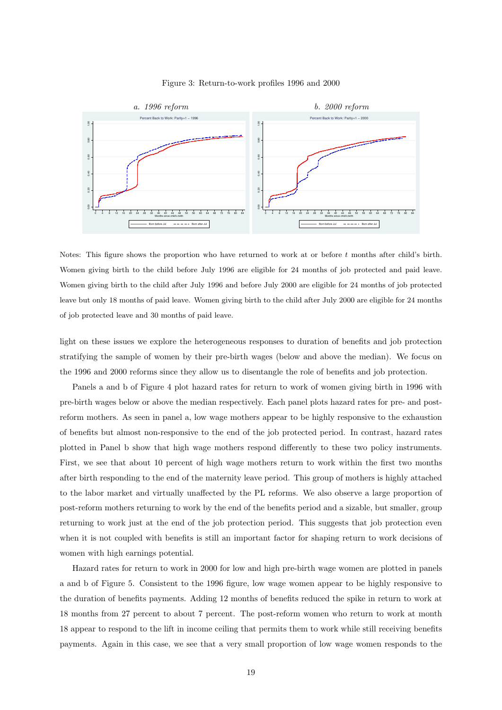

Figure 3: Return-to-work profiles 1996 and 2000

Notes: This figure shows the proportion who have returned to work at or before  $t$  months after child's birth. Women giving birth to the child before July 1996 are eligible for 24 months of job protected and paid leave. Women giving birth to the child after July 1996 and before July 2000 are eligible for 24 months of job protected leave but only 18 months of paid leave. Women giving birth to the child after July 2000 are eligible for 24 months of job protected leave and 30 months of paid leave.

light on these issues we explore the heterogeneous responses to duration of benefits and job protection stratifying the sample of women by their pre-birth wages (below and above the median). We focus on the 1996 and 2000 reforms since they allow us to disentangle the role of benefits and job protection.

Panels a and b of Figure 4 plot hazard rates for return to work of women giving birth in 1996 with pre-birth wages below or above the median respectively. Each panel plots hazard rates for pre- and postreform mothers. As seen in panel a, low wage mothers appear to be highly responsive to the exhaustion of benefits but almost non-responsive to the end of the job protected period. In contrast, hazard rates plotted in Panel b show that high wage mothers respond differently to these two policy instruments. First, we see that about 10 percent of high wage mothers return to work within the first two months after birth responding to the end of the maternity leave period. This group of mothers is highly attached to the labor market and virtually unaffected by the PL reforms. We also observe a large proportion of post-reform mothers returning to work by the end of the benefits period and a sizable, but smaller, group returning to work just at the end of the job protection period. This suggests that job protection even when it is not coupled with benefits is still an important factor for shaping return to work decisions of women with high earnings potential.

Hazard rates for return to work in 2000 for low and high pre-birth wage women are plotted in panels a and b of Figure 5. Consistent to the 1996 figure, low wage women appear to be highly responsive to the duration of benefits payments. Adding 12 months of benefits reduced the spike in return to work at 18 months from 27 percent to about 7 percent. The post-reform women who return to work at month 18 appear to respond to the lift in income ceiling that permits them to work while still receiving benefits payments. Again in this case, we see that a very small proportion of low wage women responds to the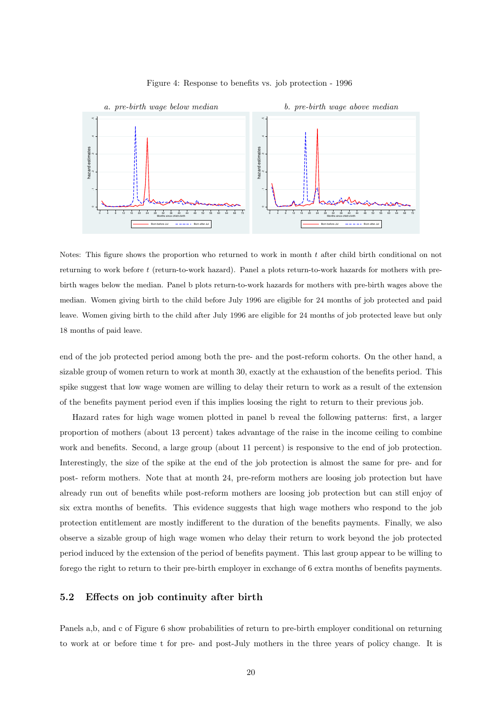



Notes: This figure shows the proportion who returned to work in month  $t$  after child birth conditional on not returning to work before t (return-to-work hazard). Panel a plots return-to-work hazards for mothers with prebirth wages below the median. Panel b plots return-to-work hazards for mothers with pre-birth wages above the median. Women giving birth to the child before July 1996 are eligible for 24 months of job protected and paid leave. Women giving birth to the child after July 1996 are eligible for 24 months of job protected leave but only 18 months of paid leave.

end of the job protected period among both the pre- and the post-reform cohorts. On the other hand, a sizable group of women return to work at month 30, exactly at the exhaustion of the benefits period. This spike suggest that low wage women are willing to delay their return to work as a result of the extension of the benefits payment period even if this implies loosing the right to return to their previous job.

Hazard rates for high wage women plotted in panel b reveal the following patterns: first, a larger proportion of mothers (about 13 percent) takes advantage of the raise in the income ceiling to combine work and benefits. Second, a large group (about 11 percent) is responsive to the end of job protection. Interestingly, the size of the spike at the end of the job protection is almost the same for pre- and for post- reform mothers. Note that at month 24, pre-reform mothers are loosing job protection but have already run out of benefits while post-reform mothers are loosing job protection but can still enjoy of six extra months of benefits. This evidence suggests that high wage mothers who respond to the job protection entitlement are mostly indifferent to the duration of the benefits payments. Finally, we also observe a sizable group of high wage women who delay their return to work beyond the job protected period induced by the extension of the period of benefits payment. This last group appear to be willing to forego the right to return to their pre-birth employer in exchange of 6 extra months of benefits payments.

## 5.2 Effects on job continuity after birth

Panels a,b, and c of Figure 6 show probabilities of return to pre-birth employer conditional on returning to work at or before time t for pre- and post-July mothers in the three years of policy change. It is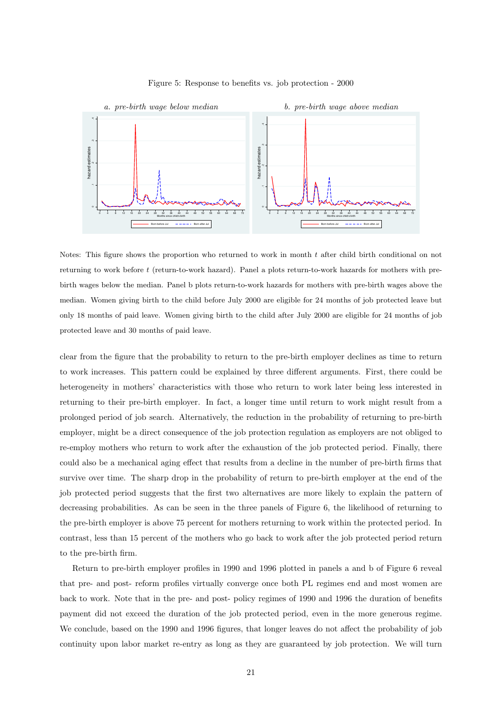



Notes: This figure shows the proportion who returned to work in month  $t$  after child birth conditional on not returning to work before t (return-to-work hazard). Panel a plots return-to-work hazards for mothers with prebirth wages below the median. Panel b plots return-to-work hazards for mothers with pre-birth wages above the median. Women giving birth to the child before July 2000 are eligible for 24 months of job protected leave but only 18 months of paid leave. Women giving birth to the child after July 2000 are eligible for 24 months of job protected leave and 30 months of paid leave.

clear from the figure that the probability to return to the pre-birth employer declines as time to return to work increases. This pattern could be explained by three different arguments. First, there could be heterogeneity in mothers' characteristics with those who return to work later being less interested in returning to their pre-birth employer. In fact, a longer time until return to work might result from a prolonged period of job search. Alternatively, the reduction in the probability of returning to pre-birth employer, might be a direct consequence of the job protection regulation as employers are not obliged to re-employ mothers who return to work after the exhaustion of the job protected period. Finally, there could also be a mechanical aging effect that results from a decline in the number of pre-birth firms that survive over time. The sharp drop in the probability of return to pre-birth employer at the end of the job protected period suggests that the first two alternatives are more likely to explain the pattern of decreasing probabilities. As can be seen in the three panels of Figure 6, the likelihood of returning to the pre-birth employer is above 75 percent for mothers returning to work within the protected period. In contrast, less than 15 percent of the mothers who go back to work after the job protected period return to the pre-birth firm.

Return to pre-birth employer profiles in 1990 and 1996 plotted in panels a and b of Figure 6 reveal that pre- and post- reform profiles virtually converge once both PL regimes end and most women are back to work. Note that in the pre- and post- policy regimes of 1990 and 1996 the duration of benefits payment did not exceed the duration of the job protected period, even in the more generous regime. We conclude, based on the 1990 and 1996 figures, that longer leaves do not affect the probability of job continuity upon labor market re-entry as long as they are guaranteed by job protection. We will turn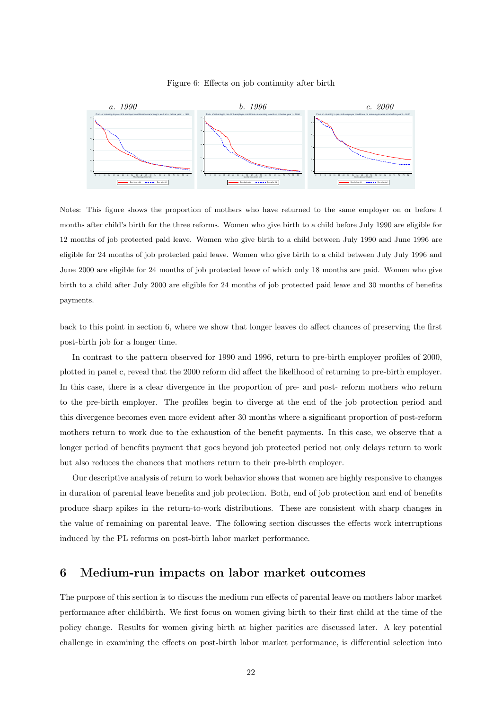

#### Figure 6: Effects on job continuity after birth

Notes: This figure shows the proportion of mothers who have returned to the same employer on or before t months after child's birth for the three reforms. Women who give birth to a child before July 1990 are eligible for 12 months of job protected paid leave. Women who give birth to a child between July 1990 and June 1996 are eligible for 24 months of job protected paid leave. Women who give birth to a child between July July 1996 and June 2000 are eligible for 24 months of job protected leave of which only 18 months are paid. Women who give birth to a child after July 2000 are eligible for 24 months of job protected paid leave and 30 months of benefits payments.

back to this point in section 6, where we show that longer leaves do affect chances of preserving the first post-birth job for a longer time.

In contrast to the pattern observed for 1990 and 1996, return to pre-birth employer profiles of 2000, plotted in panel c, reveal that the 2000 reform did affect the likelihood of returning to pre-birth employer. In this case, there is a clear divergence in the proportion of pre- and post- reform mothers who return to the pre-birth employer. The profiles begin to diverge at the end of the job protection period and this divergence becomes even more evident after 30 months where a significant proportion of post-reform mothers return to work due to the exhaustion of the benefit payments. In this case, we observe that a longer period of benefits payment that goes beyond job protected period not only delays return to work but also reduces the chances that mothers return to their pre-birth employer.

Our descriptive analysis of return to work behavior shows that women are highly responsive to changes in duration of parental leave benefits and job protection. Both, end of job protection and end of benefits produce sharp spikes in the return-to-work distributions. These are consistent with sharp changes in the value of remaining on parental leave. The following section discusses the effects work interruptions induced by the PL reforms on post-birth labor market performance.

## 6 Medium-run impacts on labor market outcomes

The purpose of this section is to discuss the medium run effects of parental leave on mothers labor market performance after childbirth. We first focus on women giving birth to their first child at the time of the policy change. Results for women giving birth at higher parities are discussed later. A key potential challenge in examining the effects on post-birth labor market performance, is differential selection into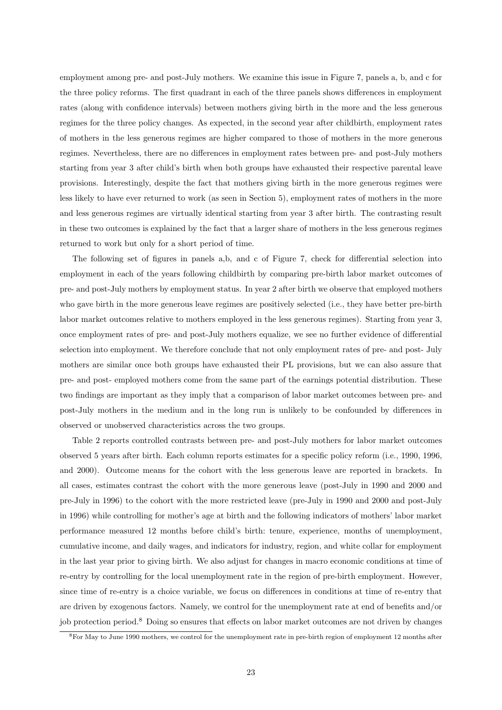employment among pre- and post-July mothers. We examine this issue in Figure 7, panels a, b, and c for the three policy reforms. The first quadrant in each of the three panels shows differences in employment rates (along with confidence intervals) between mothers giving birth in the more and the less generous regimes for the three policy changes. As expected, in the second year after childbirth, employment rates of mothers in the less generous regimes are higher compared to those of mothers in the more generous regimes. Nevertheless, there are no differences in employment rates between pre- and post-July mothers starting from year 3 after child's birth when both groups have exhausted their respective parental leave provisions. Interestingly, despite the fact that mothers giving birth in the more generous regimes were less likely to have ever returned to work (as seen in Section 5), employment rates of mothers in the more and less generous regimes are virtually identical starting from year 3 after birth. The contrasting result in these two outcomes is explained by the fact that a larger share of mothers in the less generous regimes returned to work but only for a short period of time.

The following set of figures in panels a,b, and c of Figure 7, check for differential selection into employment in each of the years following childbirth by comparing pre-birth labor market outcomes of pre- and post-July mothers by employment status. In year 2 after birth we observe that employed mothers who gave birth in the more generous leave regimes are positively selected (i.e., they have better pre-birth labor market outcomes relative to mothers employed in the less generous regimes). Starting from year 3, once employment rates of pre- and post-July mothers equalize, we see no further evidence of differential selection into employment. We therefore conclude that not only employment rates of pre- and post- July mothers are similar once both groups have exhausted their PL provisions, but we can also assure that pre- and post- employed mothers come from the same part of the earnings potential distribution. These two findings are important as they imply that a comparison of labor market outcomes between pre- and post-July mothers in the medium and in the long run is unlikely to be confounded by differences in observed or unobserved characteristics across the two groups.

Table 2 reports controlled contrasts between pre- and post-July mothers for labor market outcomes observed 5 years after birth. Each column reports estimates for a specific policy reform (i.e., 1990, 1996, and 2000). Outcome means for the cohort with the less generous leave are reported in brackets. In all cases, estimates contrast the cohort with the more generous leave (post-July in 1990 and 2000 and pre-July in 1996) to the cohort with the more restricted leave (pre-July in 1990 and 2000 and post-July in 1996) while controlling for mother's age at birth and the following indicators of mothers' labor market performance measured 12 months before child's birth: tenure, experience, months of unemployment, cumulative income, and daily wages, and indicators for industry, region, and white collar for employment in the last year prior to giving birth. We also adjust for changes in macro economic conditions at time of re-entry by controlling for the local unemployment rate in the region of pre-birth employment. However, since time of re-entry is a choice variable, we focus on differences in conditions at time of re-entry that are driven by exogenous factors. Namely, we control for the unemployment rate at end of benefits and/or job protection period.<sup>8</sup> Doing so ensures that effects on labor market outcomes are not driven by changes

<sup>8</sup>For May to June 1990 mothers, we control for the unemployment rate in pre-birth region of employment 12 months after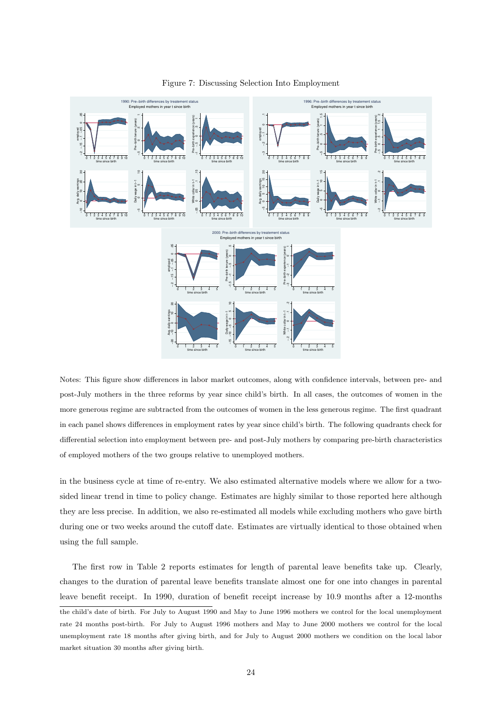

Figure 7: Discussing Selection Into Employment

Notes: This figure show differences in labor market outcomes, along with confidence intervals, between pre- and post-July mothers in the three reforms by year since child's birth. In all cases, the outcomes of women in the more generous regime are subtracted from the outcomes of women in the less generous regime. The first quadrant in each panel shows differences in employment rates by year since child's birth. The following quadrants check for differential selection into employment between pre- and post-July mothers by comparing pre-birth characteristics of employed mothers of the two groups relative to unemployed mothers.

in the business cycle at time of re-entry. We also estimated alternative models where we allow for a twosided linear trend in time to policy change. Estimates are highly similar to those reported here although they are less precise. In addition, we also re-estimated all models while excluding mothers who gave birth during one or two weeks around the cutoff date. Estimates are virtually identical to those obtained when using the full sample.

The first row in Table 2 reports estimates for length of parental leave benefits take up. Clearly, changes to the duration of parental leave benefits translate almost one for one into changes in parental leave benefit receipt. In 1990, duration of benefit receipt increase by 10.9 months after a 12-months the child's date of birth. For July to August 1990 and May to June 1996 mothers we control for the local unemployment rate 24 months post-birth. For July to August 1996 mothers and May to June 2000 mothers we control for the local unemployment rate 18 months after giving birth, and for July to August 2000 mothers we condition on the local labor market situation 30 months after giving birth.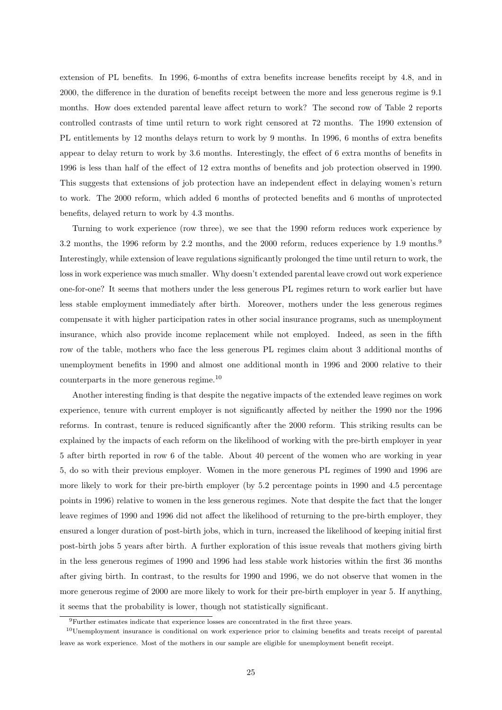extension of PL benefits. In 1996, 6-months of extra benefits increase benefits receipt by 4.8, and in 2000, the difference in the duration of benefits receipt between the more and less generous regime is 9.1 months. How does extended parental leave affect return to work? The second row of Table 2 reports controlled contrasts of time until return to work right censored at 72 months. The 1990 extension of PL entitlements by 12 months delays return to work by 9 months. In 1996, 6 months of extra benefits appear to delay return to work by 3.6 months. Interestingly, the effect of 6 extra months of benefits in 1996 is less than half of the effect of 12 extra months of benefits and job protection observed in 1990. This suggests that extensions of job protection have an independent effect in delaying women's return to work. The 2000 reform, which added 6 months of protected benefits and 6 months of unprotected benefits, delayed return to work by 4.3 months.

Turning to work experience (row three), we see that the 1990 reform reduces work experience by 3.2 months, the 1996 reform by 2.2 months, and the 2000 reform, reduces experience by 1.9 months.<sup>9</sup> Interestingly, while extension of leave regulations significantly prolonged the time until return to work, the loss in work experience was much smaller. Why doesn't extended parental leave crowd out work experience one-for-one? It seems that mothers under the less generous PL regimes return to work earlier but have less stable employment immediately after birth. Moreover, mothers under the less generous regimes compensate it with higher participation rates in other social insurance programs, such as unemployment insurance, which also provide income replacement while not employed. Indeed, as seen in the fifth row of the table, mothers who face the less generous PL regimes claim about 3 additional months of unemployment benefits in 1990 and almost one additional month in 1996 and 2000 relative to their counterparts in the more generous regime.<sup>10</sup>

Another interesting finding is that despite the negative impacts of the extended leave regimes on work experience, tenure with current employer is not significantly affected by neither the 1990 nor the 1996 reforms. In contrast, tenure is reduced significantly after the 2000 reform. This striking results can be explained by the impacts of each reform on the likelihood of working with the pre-birth employer in year 5 after birth reported in row 6 of the table. About 40 percent of the women who are working in year 5, do so with their previous employer. Women in the more generous PL regimes of 1990 and 1996 are more likely to work for their pre-birth employer (by 5.2 percentage points in 1990 and 4.5 percentage points in 1996) relative to women in the less generous regimes. Note that despite the fact that the longer leave regimes of 1990 and 1996 did not affect the likelihood of returning to the pre-birth employer, they ensured a longer duration of post-birth jobs, which in turn, increased the likelihood of keeping initial first post-birth jobs 5 years after birth. A further exploration of this issue reveals that mothers giving birth in the less generous regimes of 1990 and 1996 had less stable work histories within the first 36 months after giving birth. In contrast, to the results for 1990 and 1996, we do not observe that women in the more generous regime of 2000 are more likely to work for their pre-birth employer in year 5. If anything, it seems that the probability is lower, though not statistically significant.

<sup>9</sup>Further estimates indicate that experience losses are concentrated in the first three years.

<sup>10</sup>Unemployment insurance is conditional on work experience prior to claiming benefits and treats receipt of parental leave as work experience. Most of the mothers in our sample are eligible for unemployment benefit receipt.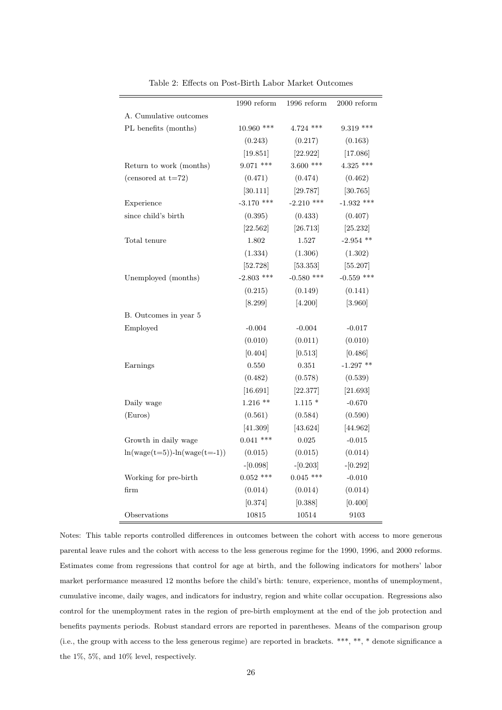|                                  | 1990 reform  | 1996 reform  | $2000$ reform |
|----------------------------------|--------------|--------------|---------------|
| A. Cumulative outcomes           |              |              |               |
| PL benefits (months)             | 10.960 ***   | $4.724$ ***  | $9.319$ ***   |
|                                  | (0.243)      | (0.217)      | (0.163)       |
|                                  | [19.851]     | [22.922]     | [17.086]      |
| Return to work (months)          | $9.071$ ***  | $3.600$ ***  | $4.325$ ***   |
| (censored at $t=72$ )            | (0.471)      | (0.474)      | (0.462)       |
|                                  | [30.111]     | [29.787]     | [30.765]      |
| Experience                       | $-3.170$ *** | $-2.210$ *** | $-1.932$ ***  |
| since child's birth              | (0.395)      | (0.433)      | (0.407)       |
|                                  | [22.562]     | [26.713]     | [25.232]      |
| Total tenure                     | 1.802        | 1.527        | $-2.954$ **   |
|                                  | (1.334)      | (1.306)      | (1.302)       |
|                                  | [52.728]     | [53.353]     | [55.207]      |
| Unemployed (months)              | $-2.803$ *** | $-0.580$ *** | $-0.559$ ***  |
|                                  | (0.215)      | (0.149)      | (0.141)       |
|                                  | [8.299]      | [4.200]      | [3.960]       |
| B. Outcomes in year 5            |              |              |               |
| Employed                         | $-0.004$     | $-0.004$     | $-0.017$      |
|                                  | (0.010)      | (0.011)      | (0.010)       |
|                                  | [0.404]      | [0.513]      | [0.486]       |
| Earnings                         | 0.550        | 0.351        | $-1.297$ **   |
|                                  | (0.482)      | (0.578)      | (0.539)       |
|                                  | [16.691]     | [22.377]     | [21.693]      |
| Daily wage                       | $1.216$ **   | $1.115*$     | $-0.670$      |
| (Euros)                          | (0.561)      | (0.584)      | (0.590)       |
|                                  | [41.309]     | [43.624]     | [44.962]      |
| Growth in daily wage             | $0.041$ ***  | $\,0.025\,$  | $-0.015$      |
| $ln(wage(t=5)) - ln(wage(t=-1))$ | (0.015)      | (0.015)      | (0.014)       |
|                                  | $-[0.098]$   | $-[0.203]$   | $-[0.292]$    |
| Working for pre-birth            | $0.052$ ***  | $0.045$ ***  | $-0.010$      |
| firm                             | (0.014)      | (0.014)      | (0.014)       |
|                                  | [0.374]      | [0.388]      | [0.400]       |
| Observations                     | 10815        | 10514        | 9103          |

Table 2: Effects on Post-Birth Labor Market Outcomes

Notes: This table reports controlled differences in outcomes between the cohort with access to more generous parental leave rules and the cohort with access to the less generous regime for the 1990, 1996, and 2000 reforms. Estimates come from regressions that control for age at birth, and the following indicators for mothers' labor market performance measured 12 months before the child's birth: tenure, experience, months of unemployment, cumulative income, daily wages, and indicators for industry, region and white collar occupation. Regressions also control for the unemployment rates in the region of pre-birth employment at the end of the job protection and benefits payments periods. Robust standard errors are reported in parentheses. Means of the comparison group (i.e., the group with access to the less generous regime) are reported in brackets. \*\*\*, \*\*, \* denote significance a the 1%, 5%, and 10% level, respectively.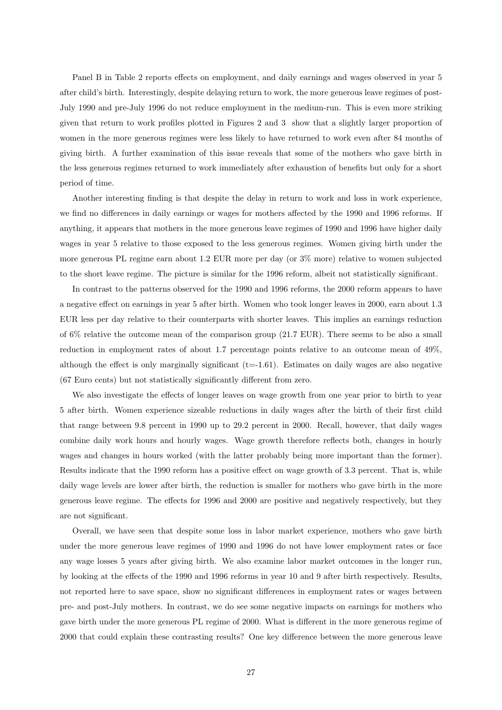Panel B in Table 2 reports effects on employment, and daily earnings and wages observed in year 5 after child's birth. Interestingly, despite delaying return to work, the more generous leave regimes of post-July 1990 and pre-July 1996 do not reduce employment in the medium-run. This is even more striking given that return to work profiles plotted in Figures 2 and 3 show that a slightly larger proportion of women in the more generous regimes were less likely to have returned to work even after 84 months of giving birth. A further examination of this issue reveals that some of the mothers who gave birth in the less generous regimes returned to work immediately after exhaustion of benefits but only for a short period of time.

Another interesting finding is that despite the delay in return to work and loss in work experience, we find no differences in daily earnings or wages for mothers affected by the 1990 and 1996 reforms. If anything, it appears that mothers in the more generous leave regimes of 1990 and 1996 have higher daily wages in year 5 relative to those exposed to the less generous regimes. Women giving birth under the more generous PL regime earn about 1.2 EUR more per day (or 3% more) relative to women subjected to the short leave regime. The picture is similar for the 1996 reform, albeit not statistically significant.

In contrast to the patterns observed for the 1990 and 1996 reforms, the 2000 reform appears to have a negative effect on earnings in year 5 after birth. Women who took longer leaves in 2000, earn about 1.3 EUR less per day relative to their counterparts with shorter leaves. This implies an earnings reduction of 6% relative the outcome mean of the comparison group (21.7 EUR). There seems to be also a small reduction in employment rates of about 1.7 percentage points relative to an outcome mean of 49%, although the effect is only marginally significant  $(t=1.61)$ . Estimates on daily wages are also negative (67 Euro cents) but not statistically significantly different from zero.

We also investigate the effects of longer leaves on wage growth from one year prior to birth to year 5 after birth. Women experience sizeable reductions in daily wages after the birth of their first child that range between 9.8 percent in 1990 up to 29.2 percent in 2000. Recall, however, that daily wages combine daily work hours and hourly wages. Wage growth therefore reflects both, changes in hourly wages and changes in hours worked (with the latter probably being more important than the former). Results indicate that the 1990 reform has a positive effect on wage growth of 3.3 percent. That is, while daily wage levels are lower after birth, the reduction is smaller for mothers who gave birth in the more generous leave regime. The effects for 1996 and 2000 are positive and negatively respectively, but they are not significant.

Overall, we have seen that despite some loss in labor market experience, mothers who gave birth under the more generous leave regimes of 1990 and 1996 do not have lower employment rates or face any wage losses 5 years after giving birth. We also examine labor market outcomes in the longer run, by looking at the effects of the 1990 and 1996 reforms in year 10 and 9 after birth respectively. Results, not reported here to save space, show no significant differences in employment rates or wages between pre- and post-July mothers. In contrast, we do see some negative impacts on earnings for mothers who gave birth under the more generous PL regime of 2000. What is different in the more generous regime of 2000 that could explain these contrasting results? One key difference between the more generous leave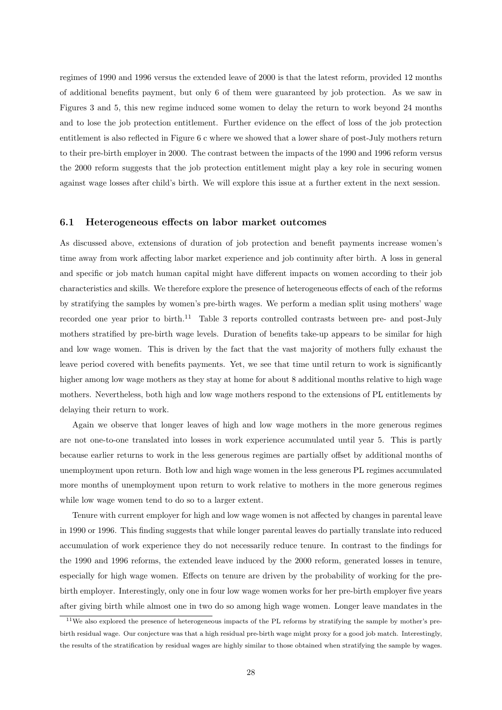regimes of 1990 and 1996 versus the extended leave of 2000 is that the latest reform, provided 12 months of additional benefits payment, but only 6 of them were guaranteed by job protection. As we saw in Figures 3 and 5, this new regime induced some women to delay the return to work beyond 24 months and to lose the job protection entitlement. Further evidence on the effect of loss of the job protection entitlement is also reflected in Figure 6 c where we showed that a lower share of post-July mothers return to their pre-birth employer in 2000. The contrast between the impacts of the 1990 and 1996 reform versus the 2000 reform suggests that the job protection entitlement might play a key role in securing women against wage losses after child's birth. We will explore this issue at a further extent in the next session.

#### 6.1 Heterogeneous effects on labor market outcomes

As discussed above, extensions of duration of job protection and benefit payments increase women's time away from work affecting labor market experience and job continuity after birth. A loss in general and specific or job match human capital might have different impacts on women according to their job characteristics and skills. We therefore explore the presence of heterogeneous effects of each of the reforms by stratifying the samples by women's pre-birth wages. We perform a median split using mothers' wage recorded one year prior to birth.<sup>11</sup> Table 3 reports controlled contrasts between pre- and post-July mothers stratified by pre-birth wage levels. Duration of benefits take-up appears to be similar for high and low wage women. This is driven by the fact that the vast majority of mothers fully exhaust the leave period covered with benefits payments. Yet, we see that time until return to work is significantly higher among low wage mothers as they stay at home for about 8 additional months relative to high wage mothers. Nevertheless, both high and low wage mothers respond to the extensions of PL entitlements by delaying their return to work.

Again we observe that longer leaves of high and low wage mothers in the more generous regimes are not one-to-one translated into losses in work experience accumulated until year 5. This is partly because earlier returns to work in the less generous regimes are partially offset by additional months of unemployment upon return. Both low and high wage women in the less generous PL regimes accumulated more months of unemployment upon return to work relative to mothers in the more generous regimes while low wage women tend to do so to a larger extent.

Tenure with current employer for high and low wage women is not affected by changes in parental leave in 1990 or 1996. This finding suggests that while longer parental leaves do partially translate into reduced accumulation of work experience they do not necessarily reduce tenure. In contrast to the findings for the 1990 and 1996 reforms, the extended leave induced by the 2000 reform, generated losses in tenure, especially for high wage women. Effects on tenure are driven by the probability of working for the prebirth employer. Interestingly, only one in four low wage women works for her pre-birth employer five years after giving birth while almost one in two do so among high wage women. Longer leave mandates in the

<sup>11</sup>We also explored the presence of heterogeneous impacts of the PL reforms by stratifying the sample by mother's prebirth residual wage. Our conjecture was that a high residual pre-birth wage might proxy for a good job match. Interestingly, the results of the stratification by residual wages are highly similar to those obtained when stratifying the sample by wages.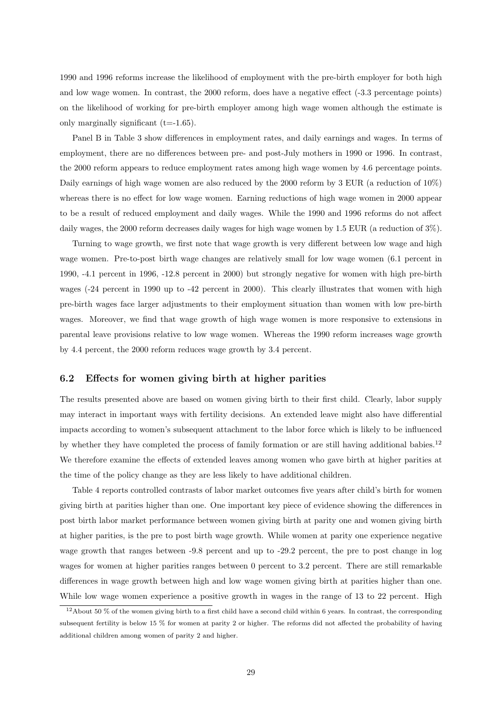1990 and 1996 reforms increase the likelihood of employment with the pre-birth employer for both high and low wage women. In contrast, the 2000 reform, does have a negative effect (-3.3 percentage points) on the likelihood of working for pre-birth employer among high wage women although the estimate is only marginally significant  $(t=1.65)$ .

Panel B in Table 3 show differences in employment rates, and daily earnings and wages. In terms of employment, there are no differences between pre- and post-July mothers in 1990 or 1996. In contrast, the 2000 reform appears to reduce employment rates among high wage women by 4.6 percentage points. Daily earnings of high wage women are also reduced by the 2000 reform by 3 EUR (a reduction of  $10\%$ ) whereas there is no effect for low wage women. Earning reductions of high wage women in 2000 appear to be a result of reduced employment and daily wages. While the 1990 and 1996 reforms do not affect daily wages, the 2000 reform decreases daily wages for high wage women by 1.5 EUR (a reduction of 3%).

Turning to wage growth, we first note that wage growth is very different between low wage and high wage women. Pre-to-post birth wage changes are relatively small for low wage women (6.1 percent in 1990, -4.1 percent in 1996, -12.8 percent in 2000) but strongly negative for women with high pre-birth wages (-24 percent in 1990 up to -42 percent in 2000). This clearly illustrates that women with high pre-birth wages face larger adjustments to their employment situation than women with low pre-birth wages. Moreover, we find that wage growth of high wage women is more responsive to extensions in parental leave provisions relative to low wage women. Whereas the 1990 reform increases wage growth by 4.4 percent, the 2000 reform reduces wage growth by 3.4 percent.

### 6.2 Effects for women giving birth at higher parities

The results presented above are based on women giving birth to their first child. Clearly, labor supply may interact in important ways with fertility decisions. An extended leave might also have differential impacts according to women's subsequent attachment to the labor force which is likely to be influenced by whether they have completed the process of family formation or are still having additional babies.<sup>12</sup> We therefore examine the effects of extended leaves among women who gave birth at higher parities at the time of the policy change as they are less likely to have additional children.

Table 4 reports controlled contrasts of labor market outcomes five years after child's birth for women giving birth at parities higher than one. One important key piece of evidence showing the differences in post birth labor market performance between women giving birth at parity one and women giving birth at higher parities, is the pre to post birth wage growth. While women at parity one experience negative wage growth that ranges between -9.8 percent and up to -29.2 percent, the pre to post change in log wages for women at higher parities ranges between 0 percent to 3.2 percent. There are still remarkable differences in wage growth between high and low wage women giving birth at parities higher than one. While low wage women experience a positive growth in wages in the range of 13 to 22 percent. High

 $12$ About 50 % of the women giving birth to a first child have a second child within 6 years. In contrast, the corresponding subsequent fertility is below 15 % for women at parity 2 or higher. The reforms did not affected the probability of having additional children among women of parity 2 and higher.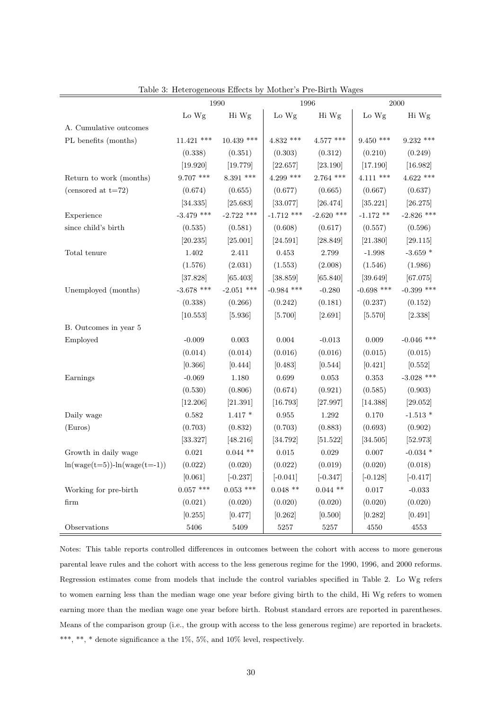|                                  |              | 1990         |              | 1996         |              | 2000         |
|----------------------------------|--------------|--------------|--------------|--------------|--------------|--------------|
|                                  | Lo Wg        | Hi Wg        | Lo Wg        | Hi Wg        | Lo Wg        | Hi Wg        |
| A. Cumulative outcomes           |              |              |              |              |              |              |
| PL benefits (months)             | $11.421$ *** | $10.439$ *** | $4.832$ ***  | $4.577$ ***  | $9.450$ ***  | $9.232$ ***  |
|                                  | (0.338)      | (0.351)      | (0.303)      | (0.312)      | (0.210)      | (0.249)      |
|                                  | [19.920]     | [19.779]     | [22.657]     | [23.190]     | [17.190]     | [16.982]     |
| Return to work (months)          | $9.707$ ***  | $8.391$ ***  | $4.299$ ***  | $2.764$ ***  | $4.111$ ***  | $4.622$ ***  |
| (censored at $t=72$ )            | (0.674)      | (0.655)      | (0.677)      | (0.665)      | (0.667)      | (0.637)      |
|                                  | [34.335]     | [25.683]     | [33.077]     | [26.474]     | [35.221]     | [26.275]     |
| Experience                       | $-3.479$ *** | $-2.722$ *** | $-1.712$ *** | $-2.620$ *** | $-1.172$ **  | $-2.826$ *** |
| since child's birth              | (0.535)      | (0.581)      | (0.608)      | (0.617)      | (0.557)      | (0.596)      |
|                                  | [20.235]     | [25.001]     | [24.591]     | [28.849]     | [21.380]     | [29.115]     |
| Total tenure                     | $1.402\,$    | 2.411        | 0.453        | 2.799        | $-1.998$     | $-3.659$ *   |
|                                  | (1.576)      | (2.031)      | (1.553)      | (2.008)      | (1.546)      | (1.986)      |
|                                  | [37.828]     | [65.403]     | [38.859]     | [65.840]     | [39.649]     | [67.075]     |
| Unemployed (months)              | $-3.678$ *** | $-2.051$ *** | $-0.984$ *** | $-0.280$     | $-0.698$ *** | $-0.399$ *** |
|                                  | (0.338)      | (0.266)      | (0.242)      | (0.181)      | (0.237)      | (0.152)      |
|                                  | [10.553]     | [5.936]      | [5.700]      | [2.691]      | [5.570]      | [2.338]      |
| B. Outcomes in year 5            |              |              |              |              |              |              |
| Employed                         | $-0.009$     | $\,0.003\,$  | 0.004        | $-0.013$     | 0.009        | $-0.046$ *** |
|                                  | (0.014)      | (0.014)      | (0.016)      | (0.016)      | (0.015)      | (0.015)      |
|                                  | [0.366]      | [0.444]      | [0.483]      | [0.544]      | [0.421]      | [0.552]      |
| Earnings                         | $-0.069$     | 1.180        | 0.699        | 0.053        | $\rm 0.353$  | $-3.028$ *** |
|                                  | (0.530)      | (0.806)      | (0.674)      | (0.921)      | (0.585)      | (0.903)      |
|                                  | [12.206]     | [21.391]     | [16.793]     | [27.997]     | [14.388]     | [29.052]     |
| Daily wage                       | 0.582        | $1.417 *$    | 0.955        | 1.292        | 0.170        | $-1.513*$    |
| (Euros)                          | (0.703)      | (0.832)      | (0.703)      | (0.883)      | (0.693)      | (0.902)      |
|                                  | [33.327]     | [48.216]     | [34.792]     | [51.522]     | [34.505]     | [52.973]     |
| Growth in daily wage             | 0.021        | $0.044$ **   | 0.015        | 0.029        | 0.007        | $-0.034$ *   |
| $ln(wage(t=5)) - ln(wage(t=-1))$ | (0.022)      | (0.020)      | (0.022)      | (0.019)      | (0.020)      | (0.018)      |
|                                  | [0.061]      | $[-0.237]$   | $[-0.041]$   | $[-0.347]$   | $[-0.128]$   | $[-0.417]$   |
| Working for pre-birth            | $0.057$ ***  | $0.053$ ***  | $0.048$ **   | $0.044$ **   | $0.017\,$    | $-0.033$     |
| firm                             | (0.021)      | (0.020)      | (0.020)      | (0.020)      | (0.020)      | (0.020)      |
|                                  | [0.255]      | [0.477]      | [0.262]      | [0.500]      | [0.282]      | [0.491]      |
| Observations                     | 5406         | 5409         | 5257         | 5257         | 4550         | 4553         |

Table 3: Heterogeneous Effects by Mother's Pre-Birth Wages

Notes: This table reports controlled differences in outcomes between the cohort with access to more generous parental leave rules and the cohort with access to the less generous regime for the 1990, 1996, and 2000 reforms. Regression estimates come from models that include the control variables specified in Table 2. Lo Wg refers to women earning less than the median wage one year before giving birth to the child, Hi Wg refers to women earning more than the median wage one year before birth. Robust standard errors are reported in parentheses. Means of the comparison group (i.e., the group with access to the less generous regime) are reported in brackets.  $^{***},$   $^{**},$   $^{*}$  denote significance a the 1%, 5%, and 10% level, respectively.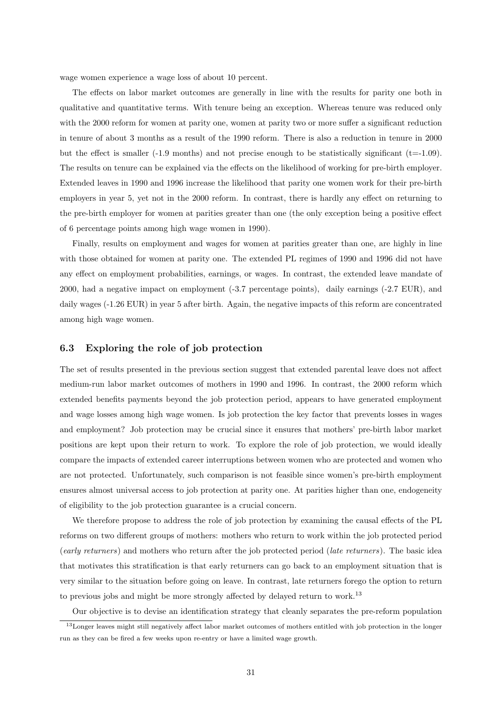wage women experience a wage loss of about 10 percent.

The effects on labor market outcomes are generally in line with the results for parity one both in qualitative and quantitative terms. With tenure being an exception. Whereas tenure was reduced only with the 2000 reform for women at parity one, women at parity two or more suffer a significant reduction in tenure of about 3 months as a result of the 1990 reform. There is also a reduction in tenure in 2000 but the effect is smaller  $(-1.9 \text{ months})$  and not precise enough to be statistically significant  $(t=1.09)$ . The results on tenure can be explained via the effects on the likelihood of working for pre-birth employer. Extended leaves in 1990 and 1996 increase the likelihood that parity one women work for their pre-birth employers in year 5, yet not in the 2000 reform. In contrast, there is hardly any effect on returning to the pre-birth employer for women at parities greater than one (the only exception being a positive effect of 6 percentage points among high wage women in 1990).

Finally, results on employment and wages for women at parities greater than one, are highly in line with those obtained for women at parity one. The extended PL regimes of 1990 and 1996 did not have any effect on employment probabilities, earnings, or wages. In contrast, the extended leave mandate of 2000, had a negative impact on employment (-3.7 percentage points), daily earnings (-2.7 EUR), and daily wages (-1.26 EUR) in year 5 after birth. Again, the negative impacts of this reform are concentrated among high wage women.

#### 6.3 Exploring the role of job protection

The set of results presented in the previous section suggest that extended parental leave does not affect medium-run labor market outcomes of mothers in 1990 and 1996. In contrast, the 2000 reform which extended benefits payments beyond the job protection period, appears to have generated employment and wage losses among high wage women. Is job protection the key factor that prevents losses in wages and employment? Job protection may be crucial since it ensures that mothers' pre-birth labor market positions are kept upon their return to work. To explore the role of job protection, we would ideally compare the impacts of extended career interruptions between women who are protected and women who are not protected. Unfortunately, such comparison is not feasible since women's pre-birth employment ensures almost universal access to job protection at parity one. At parities higher than one, endogeneity of eligibility to the job protection guarantee is a crucial concern.

We therefore propose to address the role of job protection by examining the causal effects of the PL reforms on two different groups of mothers: mothers who return to work within the job protected period (early returners) and mothers who return after the job protected period (late returners). The basic idea that motivates this stratification is that early returners can go back to an employment situation that is very similar to the situation before going on leave. In contrast, late returners forego the option to return to previous jobs and might be more strongly affected by delayed return to work.<sup>13</sup>

Our objective is to devise an identification strategy that cleanly separates the pre-reform population

<sup>&</sup>lt;sup>13</sup>Longer leaves might still negatively affect labor market outcomes of mothers entitled with job protection in the longer run as they can be fired a few weeks upon re-entry or have a limited wage growth.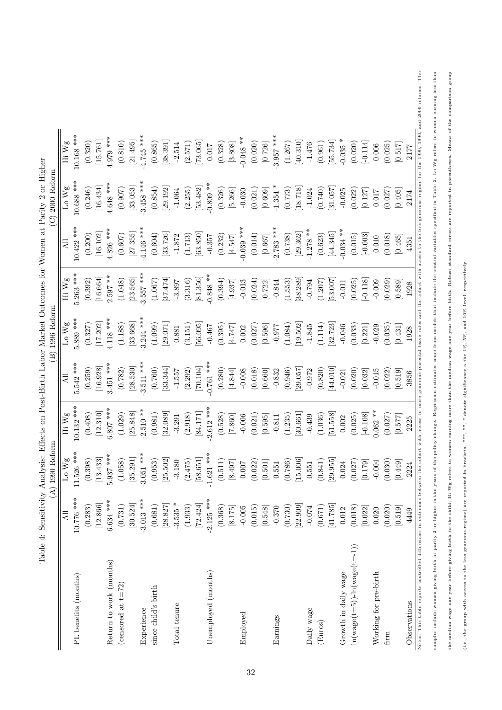|              |                        |              |                          |             |                       | $(C)$ 2000 Reform       |                       |                       |
|--------------|------------------------|--------------|--------------------------|-------------|-----------------------|-------------------------|-----------------------|-----------------------|
| All          | Lo $\rm Wg$            | Hi Wg        | All                      | Lo Wg       | Hi Wg                 | All                     | Lo Wg                 | Hi Wg                 |
| 10.776 ***   | 11.526 ***             | $10.132$ *** | $5.542$ ***              | 5.889 ***   | $5.263$ ***           | $10.422$ ***            | 10.688 ***            | 10.168 ***            |
| (0.283)      | (0.398)                | (0.408)      | (0.259)                  | (0.327)     | (0.392)               | (0.200)                 | (0.246)               | (0.320)               |
| [12.866]     | $\left[ 13.433\right]$ | [12.310]     | $\left[16.928\right]$    | [17.202]    | [16.664]              | $\left[16.102\right]$   | [16.434]              | [15.761]              |
| $6.634$ ***  | 5.937 ***              | $6.807$ ***  | $3.451$ ***              | $4.118***$  | $2.597**$             | $4.826$ ***             | $4.648$ ***           | $4.979***$            |
| (0.731)      | (1.058)                | (1.029)      | (0.782)                  | (1.188)     | (1.048)               | (0.607)                 | (0.907)               | (0.810)               |
| [30.524]     | [35.291]               | [25.848]     | [28.530]                 | [33.668]    | [23.565]              | [27.355]                |                       | [21.495]              |
| $-3.013$ *** | $-3.051$ ***           | $-2.510**$   | $3.511$ ***              | $3.244$ *** | $-3.557$ ***          | $4.146$ ***             | $3.458$ ***           | $-4.745$ ***          |
| (0.681)      | (0.953)                | (0.981)      | (0.760)                  | (1.099)     | (1.067)               | (0.604)                 | (0.854)               | (0.865)               |
| [28.827]     | [25.502]               | $[32.089]$   | [33.344]                 | [29.071]    | [37.474]              | [33.726]                | [29.192]              | [38.391]              |
| $-3.535 *$   | $-3.180$               | $-3.291$     | $-1.557$                 | 0.881       | $-3.897$              | $-1.872$                | $-1.064$              | $-2.514$              |
| (1.933)      | (2.475)                | (2.918)      | (2.292)                  | (3.151)     | (3.316)               | (1.713)                 | (2.255)               | (2.571)               |
| 72.424       | [58.651]               | [84.171]     | [70.104]                 | [56.095]    | [81.356]              | [63.850]                | $\left[53.482\right]$ | [73.065]              |
| $-2.125$ *** | $-1.621$ ***           | $2.612$ ***  | $-0.761$ ***             | $-0.467$    | $-0.848**$            | $-0.357$                | $-0.809**$            | $0.017\,$             |
| (0.368)      | (0.511)                | (0.528)      | (0.280)                  | (0.395)     | (0.394)               | (0.232)                 | (0.326)               | (0.328)               |
| [8.175]      | [8.497]                | $[7.860]$    | $[4.844] \label{eq:4.8}$ | [74.747]    | [4.937]               | $[4.547] \label{eq:47}$ | $[5.266]$             | $\left[ 3.808\right]$ |
| $-0.005$     | 0.007                  | $-0.006$     | $-0.008$                 | 0.002       | $-0.013$              | $-0.039$ ***            | $-0.030$              | $-0.048**$            |
| (0.015)      | (0.022)                | (0.021)      | (0.018)                  | (0.027)     | (0.024)               | (0.014)                 | (0.021)               | (0.020)               |
| [0.548]      | $[0.501]$              | [0.595]      | [0.660]                  | [0.596]     | $\left[ 0.722\right]$ | $\left[ 0.667\right]$   | $\left[ 0.609\right]$ | [0.726]               |
| $-0.370$     | 0.551                  | $-0.811$     | $-0.832$                 | $226.0 -$   | $-0.844$              | $-2.783$ ***            | $-1.354$ *            | $-3.957$ ***          |
| (0.730)      | (0.786)                | (1.235)      | (0.946)                  | (1.084)     | (1.553)               | (0.738)                 | (0.773)               | (1.267)               |
| [22.909]     | [15.006]               | [30.661]     | [29.057]                 | [19.502]    | [38.289]              | $\left[29.362\right]$   | [18.718]              | [40.310]              |
| $-0.074$     | 0.551                  | $-0.439$     | $-0.972$                 | $-1.845$    | $-0.794$              | $-1.278**$              | $-1.024$              | $-1.476$              |
| (0.671)      | (0.841)                | (1.036)      | (0.820)                  | (1.114)     | (1.207)               | (0.623)                 | (0.740)               | (0.961)               |
| [41.785]     | [29.955]               | [51.558]     | [44.010]                 | [32.723]    | [53.007]              | [44.345]                | [31.057]              | [55.734]              |
| 0.012        | 0.024                  | 0.002        | $-0.021$                 | $-0.046$    | $-0.011$              | $-0.034$ **             | $-0.025$              | $-0.035$ *            |
| (0.018)      | (0.027)                | (0.025)      | (0.020)                  | (0.033)     | (0.025)               | (0.015)                 | (0.022)               | (0.020)               |
| [0.022]      | [0.179]                | $[-0.108]$   | [0.032]                  | [0.221]     | $-0.118$              | $[-0.003]$              | [0.127]               | $[-0.114]$            |
| 0.020        | $-0.004$               | $0.062**$    | $-0.015$                 | $-0.029$    | $-0.009$              | $0.010\,$               | 0.017                 | 0.006                 |
| (0.020)      | (0.030)                | (0.027)      | (0.022)                  | (0.035)     | (0.029)               | (0.018)                 | (0.027)               | (0.025)               |
| [0.519]      | [0.449]                | [0.577]      | [0.519]                  | [0.431]     | [0.589]               | [0.465]                 | $\left[0.405\right]$  | [0.517]               |
| 4449         | 2224                   | 2225         | 3856                     | 1928        | 1928                  | 4351                    | 2174                  | 2177                  |

samples include women giving birth at parity 2 or higher in the years of the policy change. Regression estimates come from models that include the control variables specified in Table 2. Lo Wg refers to women earning less the median wage one year before giving birth to the child, Hi Wg refers to women earning more than the median wage one year before birth. Robust standard errors are reported in parentheses. Means of the comparison group

samples include women giving birth at parity 2 or higher in the years of the policy change. Regression estimates come from models that include the control variables specified in Table 2. Lo Wg refers to women earning less

the median wage one year before giving birth to the child, Hi Wg refers to women earning more than the median wage one year before birth. Robust standard errors are reported in parentheses. Means of the comparison group

(i.e., the group with access to the less generous regime) are reported in brackets. \*\*\*, \*\*, \* denote significance a the 1%, 5%, and 10% level, respectively.

(i.e., the group with access to the less generous regime) are reported in brackets. \*\*\*, \*\*, \* denote significance a the 1%, 5%, and 10% level, respectively.

Table 4: Sensitivity Analysis: Effects on Post-Birth Labor Market Outcomes for Women at Parity 2 or Higher Table 4: Sensitivity Analysis: Effects on Post-Birth Labor Market Outcomes for Women at Parity 2 or Higher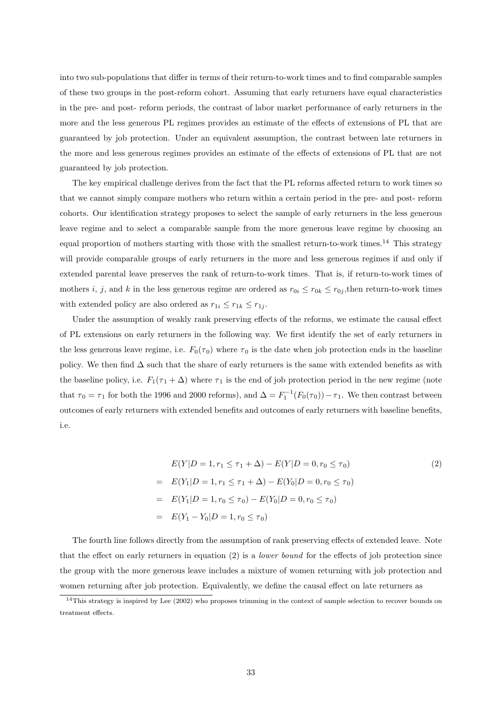into two sub-populations that differ in terms of their return-to-work times and to find comparable samples of these two groups in the post-reform cohort. Assuming that early returners have equal characteristics in the pre- and post- reform periods, the contrast of labor market performance of early returners in the more and the less generous PL regimes provides an estimate of the effects of extensions of PL that are guaranteed by job protection. Under an equivalent assumption, the contrast between late returners in the more and less generous regimes provides an estimate of the effects of extensions of PL that are not guaranteed by job protection.

The key empirical challenge derives from the fact that the PL reforms affected return to work times so that we cannot simply compare mothers who return within a certain period in the pre- and post- reform cohorts. Our identification strategy proposes to select the sample of early returners in the less generous leave regime and to select a comparable sample from the more generous leave regime by choosing an equal proportion of mothers starting with those with the smallest return-to-work times.<sup>14</sup> This strategy will provide comparable groups of early returners in the more and less generous regimes if and only if extended parental leave preserves the rank of return-to-work times. That is, if return-to-work times of mothers i, j, and k in the less generous regime are ordered as  $r_{0i} \leq r_{0k} \leq r_{0j}$ , then return-to-work times with extended policy are also ordered as  $r_{1i} \leq r_{1k} \leq r_{1j}$ .

Under the assumption of weakly rank preserving effects of the reforms, we estimate the causal effect of PL extensions on early returners in the following way. We first identify the set of early returners in the less generous leave regime, i.e.  $F_0(\tau_0)$  where  $\tau_0$  is the date when job protection ends in the baseline policy. We then find  $\Delta$  such that the share of early returners is the same with extended benefits as with the baseline policy, i.e.  $F_1(\tau_1 + \Delta)$  where  $\tau_1$  is the end of job protection period in the new regime (note that  $\tau_0 = \tau_1$  for both the 1996 and 2000 reforms), and  $\Delta = F_1^{-1}(F_0(\tau_0)) - \tau_1$ . We then contrast between outcomes of early returners with extended benefits and outcomes of early returners with baseline benefits, i.e.

$$
E(Y|D = 1, r_1 \le \tau_1 + \Delta) - E(Y|D = 0, r_0 \le \tau_0)
$$
  
=  $E(Y_1|D = 1, r_1 \le \tau_1 + \Delta) - E(Y_0|D = 0, r_0 \le \tau_0)$   
=  $E(Y_1|D = 1, r_0 \le \tau_0) - E(Y_0|D = 0, r_0 \le \tau_0)$   
=  $E(Y_1 - Y_0|D = 1, r_0 \le \tau_0)$  (2)

The fourth line follows directly from the assumption of rank preserving effects of extended leave. Note that the effect on early returners in equation  $(2)$  is a *lower bound* for the effects of job protection since the group with the more generous leave includes a mixture of women returning with job protection and women returning after job protection. Equivalently, we define the causal effect on late returners as

 $14$ This strategy is inspired by Lee (2002) who proposes trimming in the context of sample selection to recover bounds on treatment effects.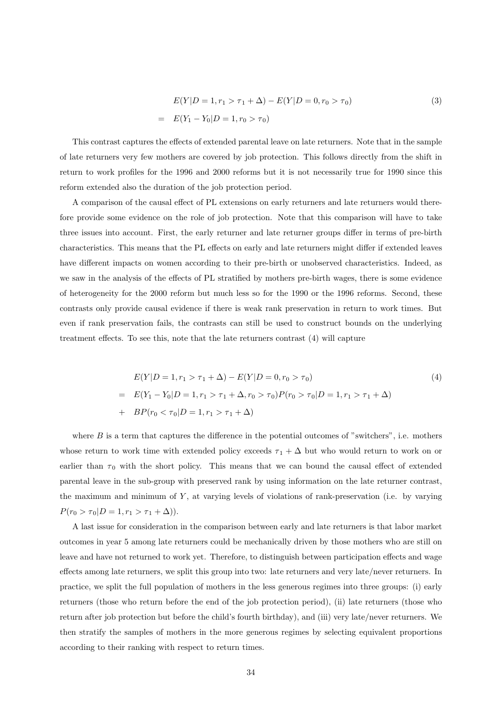$$
E(Y|D = 1, r_1 > \tau_1 + \Delta) - E(Y|D = 0, r_0 > \tau_0)
$$
\n
$$
= E(Y_1 - Y_0|D = 1, r_0 > \tau_0)
$$
\n(3)

This contrast captures the effects of extended parental leave on late returners. Note that in the sample of late returners very few mothers are covered by job protection. This follows directly from the shift in return to work profiles for the 1996 and 2000 reforms but it is not necessarily true for 1990 since this reform extended also the duration of the job protection period.

A comparison of the causal effect of PL extensions on early returners and late returners would therefore provide some evidence on the role of job protection. Note that this comparison will have to take three issues into account. First, the early returner and late returner groups differ in terms of pre-birth characteristics. This means that the PL effects on early and late returners might differ if extended leaves have different impacts on women according to their pre-birth or unobserved characteristics. Indeed, as we saw in the analysis of the effects of PL stratified by mothers pre-birth wages, there is some evidence of heterogeneity for the 2000 reform but much less so for the 1990 or the 1996 reforms. Second, these contrasts only provide causal evidence if there is weak rank preservation in return to work times. But even if rank preservation fails, the contrasts can still be used to construct bounds on the underlying treatment effects. To see this, note that the late returners contrast (4) will capture

$$
E(Y|D = 1, r_1 > \tau_1 + \Delta) - E(Y|D = 0, r_0 > \tau_0)
$$
  
= 
$$
E(Y_1 - Y_0|D = 1, r_1 > \tau_1 + \Delta, r_0 > \tau_0)P(r_0 > \tau_0|D = 1, r_1 > \tau_1 + \Delta)
$$
  
+ 
$$
BP(r_0 < \tau_0|D = 1, r_1 > \tau_1 + \Delta)
$$
 (4)

where  $B$  is a term that captures the difference in the potential outcomes of "switchers", i.e. mothers whose return to work time with extended policy exceeds  $\tau_1 + \Delta$  but who would return to work on or earlier than  $\tau_0$  with the short policy. This means that we can bound the causal effect of extended parental leave in the sub-group with preserved rank by using information on the late returner contrast, the maximum and minimum of  $Y$ , at varying levels of violations of rank-preservation (i.e. by varying  $P(r_0 > \tau_0 | D = 1, r_1 > \tau_1 + \Delta)).$ 

A last issue for consideration in the comparison between early and late returners is that labor market outcomes in year 5 among late returners could be mechanically driven by those mothers who are still on leave and have not returned to work yet. Therefore, to distinguish between participation effects and wage effects among late returners, we split this group into two: late returners and very late/never returners. In practice, we split the full population of mothers in the less generous regimes into three groups: (i) early returners (those who return before the end of the job protection period), (ii) late returners (those who return after job protection but before the child's fourth birthday), and (iii) very late/never returners. We then stratify the samples of mothers in the more generous regimes by selecting equivalent proportions according to their ranking with respect to return times.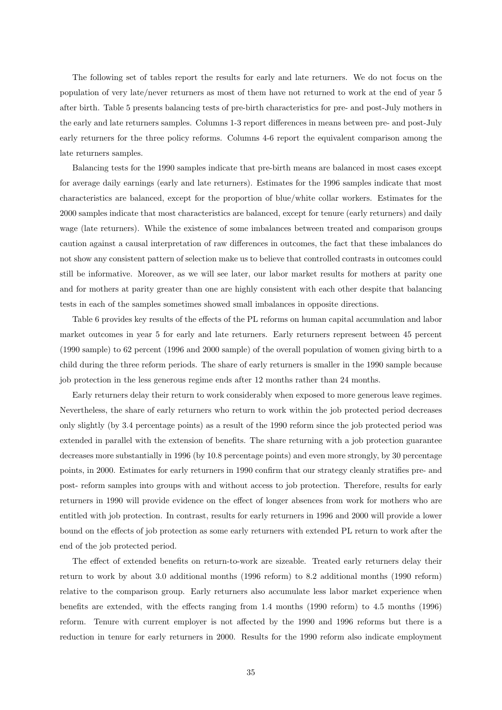The following set of tables report the results for early and late returners. We do not focus on the population of very late/never returners as most of them have not returned to work at the end of year 5 after birth. Table 5 presents balancing tests of pre-birth characteristics for pre- and post-July mothers in the early and late returners samples. Columns 1-3 report differences in means between pre- and post-July early returners for the three policy reforms. Columns 4-6 report the equivalent comparison among the late returners samples.

Balancing tests for the 1990 samples indicate that pre-birth means are balanced in most cases except for average daily earnings (early and late returners). Estimates for the 1996 samples indicate that most characteristics are balanced, except for the proportion of blue/white collar workers. Estimates for the 2000 samples indicate that most characteristics are balanced, except for tenure (early returners) and daily wage (late returners). While the existence of some imbalances between treated and comparison groups caution against a causal interpretation of raw differences in outcomes, the fact that these imbalances do not show any consistent pattern of selection make us to believe that controlled contrasts in outcomes could still be informative. Moreover, as we will see later, our labor market results for mothers at parity one and for mothers at parity greater than one are highly consistent with each other despite that balancing tests in each of the samples sometimes showed small imbalances in opposite directions.

Table 6 provides key results of the effects of the PL reforms on human capital accumulation and labor market outcomes in year 5 for early and late returners. Early returners represent between 45 percent (1990 sample) to 62 percent (1996 and 2000 sample) of the overall population of women giving birth to a child during the three reform periods. The share of early returners is smaller in the 1990 sample because job protection in the less generous regime ends after 12 months rather than 24 months.

Early returners delay their return to work considerably when exposed to more generous leave regimes. Nevertheless, the share of early returners who return to work within the job protected period decreases only slightly (by 3.4 percentage points) as a result of the 1990 reform since the job protected period was extended in parallel with the extension of benefits. The share returning with a job protection guarantee decreases more substantially in 1996 (by 10.8 percentage points) and even more strongly, by 30 percentage points, in 2000. Estimates for early returners in 1990 confirm that our strategy cleanly stratifies pre- and post- reform samples into groups with and without access to job protection. Therefore, results for early returners in 1990 will provide evidence on the effect of longer absences from work for mothers who are entitled with job protection. In contrast, results for early returners in 1996 and 2000 will provide a lower bound on the effects of job protection as some early returners with extended PL return to work after the end of the job protected period.

The effect of extended benefits on return-to-work are sizeable. Treated early returners delay their return to work by about 3.0 additional months (1996 reform) to 8.2 additional months (1990 reform) relative to the comparison group. Early returners also accumulate less labor market experience when benefits are extended, with the effects ranging from 1.4 months (1990 reform) to 4.5 months (1996) reform. Tenure with current employer is not affected by the 1990 and 1996 reforms but there is a reduction in tenure for early returners in 2000. Results for the 1990 reform also indicate employment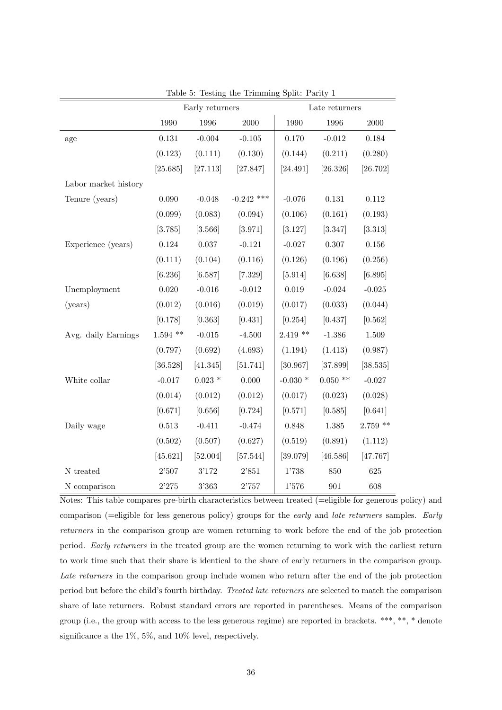|                      |            | Early returners |              |            | Late returners |            |
|----------------------|------------|-----------------|--------------|------------|----------------|------------|
|                      | 1990       | 1996            | $2000\,$     | 1990       | 1996           | $2000\,$   |
| age                  | 0.131      | $-0.004$        | $-0.105$     | 0.170      | $-0.012$       | 0.184      |
|                      | (0.123)    | (0.111)         | (0.130)      | (0.144)    | (0.211)        | (0.280)    |
|                      | [25.685]   | [27.113]        | [27.847]     | [24.491]   | [26.326]       | [26.702]   |
| Labor market history |            |                 |              |            |                |            |
| Tenure (years)       | 0.090      | $-0.048$        | $-0.242$ *** | $-0.076$   | 0.131          | 0.112      |
|                      | (0.099)    | (0.083)         | (0.094)      | (0.106)    | (0.161)        | (0.193)    |
|                      | [3.785]    | [3.566]         | [3.971]      | [3.127]    | [3.347]        | [3.313]    |
| Experience (years)   | 0.124      | 0.037           | $-0.121$     | $-0.027$   | 0.307          | $0.156\,$  |
|                      | (0.111)    | (0.104)         | (0.116)      | (0.126)    | (0.196)        | (0.256)    |
|                      | [6.236]    | [6.587]         | [7.329]      | [5.914]    | [6.638]        | [6.895]    |
| Unemployment         | 0.020      | $-0.016$        | $-0.012$     | 0.019      | $-0.024$       | $-0.025$   |
| (years)              | (0.012)    | (0.016)         | (0.019)      | (0.017)    | (0.033)        | (0.044)    |
|                      | [0.178]    | [0.363]         | [0.431]      | [0.254]    | [0.437]        | [0.562]    |
| Avg. daily Earnings  | $1.594$ ** | $-0.015$        | $-4.500$     | $2.419**$  | $-1.386$       | 1.509      |
|                      | (0.797)    | (0.692)         | (4.693)      | (1.194)    | (1.413)        | (0.987)    |
|                      | [36.528]   | [41.345]        | [51.741]     | [30.967]   | [37.899]       | [38.535]   |
| White collar         | $-0.017$   | $0.023$ *       | 0.000        | $-0.030$ * | $0.050$ **     | $-0.027$   |
|                      | (0.014)    | (0.012)         | (0.012)      | (0.017)    | (0.023)        | (0.028)    |
|                      | [0.671]    | [0.656]         | [0.724]      | [0.571]    | [0.585]        | [0.641]    |
| Daily wage           | 0.513      | $-0.411$        | $-0.474$     | 0.848      | $1.385\,$      | $2.759$ ** |
|                      | (0.502)    | (0.507)         | (0.627)      | (0.519)    | (0.891)        | (1.112)    |
|                      | [45.621]   | [52.004]        | [57.544]     | [39.079]   | [46.586]       | [47.767]   |
| N treated            | 2'507      | 3'172           | 2'851        | 1'738      | 850            | 625        |
| N comparison         | 2'275      | 3'363           | 2'757        | 1'576      | 901            | 608        |

Table 5: Testing the Trimming Split: Parity 1

Notes: This table compares pre-birth characteristics between treated (=eligible for generous policy) and comparison (=eligible for less generous policy) groups for the early and late returners samples. Early returners in the comparison group are women returning to work before the end of the job protection period. Early returners in the treated group are the women returning to work with the earliest return to work time such that their share is identical to the share of early returners in the comparison group. Late returners in the comparison group include women who return after the end of the job protection period but before the child's fourth birthday. Treated late returners are selected to match the comparison share of late returners. Robust standard errors are reported in parentheses. Means of the comparison group (i.e., the group with access to the less generous regime) are reported in brackets. \*\*\*, \*\*, \* denote significance a the 1%, 5%, and 10% level, respectively.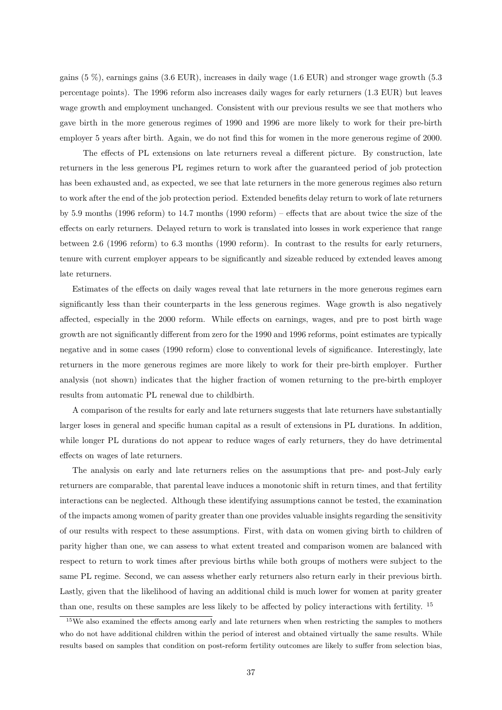gains (5 %), earnings gains (3.6 EUR), increases in daily wage (1.6 EUR) and stronger wage growth (5.3 percentage points). The 1996 reform also increases daily wages for early returners (1.3 EUR) but leaves wage growth and employment unchanged. Consistent with our previous results we see that mothers who gave birth in the more generous regimes of 1990 and 1996 are more likely to work for their pre-birth employer 5 years after birth. Again, we do not find this for women in the more generous regime of 2000.

The effects of PL extensions on late returners reveal a different picture. By construction, late returners in the less generous PL regimes return to work after the guaranteed period of job protection has been exhausted and, as expected, we see that late returners in the more generous regimes also return to work after the end of the job protection period. Extended benefits delay return to work of late returners by 5.9 months (1996 reform) to 14.7 months (1990 reform) – effects that are about twice the size of the effects on early returners. Delayed return to work is translated into losses in work experience that range between 2.6 (1996 reform) to 6.3 months (1990 reform). In contrast to the results for early returners, tenure with current employer appears to be significantly and sizeable reduced by extended leaves among late returners.

Estimates of the effects on daily wages reveal that late returners in the more generous regimes earn significantly less than their counterparts in the less generous regimes. Wage growth is also negatively affected, especially in the 2000 reform. While effects on earnings, wages, and pre to post birth wage growth are not significantly different from zero for the 1990 and 1996 reforms, point estimates are typically negative and in some cases (1990 reform) close to conventional levels of significance. Interestingly, late returners in the more generous regimes are more likely to work for their pre-birth employer. Further analysis (not shown) indicates that the higher fraction of women returning to the pre-birth employer results from automatic PL renewal due to childbirth.

A comparison of the results for early and late returners suggests that late returners have substantially larger loses in general and specific human capital as a result of extensions in PL durations. In addition, while longer PL durations do not appear to reduce wages of early returners, they do have detrimental effects on wages of late returners.

The analysis on early and late returners relies on the assumptions that pre- and post-July early returners are comparable, that parental leave induces a monotonic shift in return times, and that fertility interactions can be neglected. Although these identifying assumptions cannot be tested, the examination of the impacts among women of parity greater than one provides valuable insights regarding the sensitivity of our results with respect to these assumptions. First, with data on women giving birth to children of parity higher than one, we can assess to what extent treated and comparison women are balanced with respect to return to work times after previous births while both groups of mothers were subject to the same PL regime. Second, we can assess whether early returners also return early in their previous birth. Lastly, given that the likelihood of having an additional child is much lower for women at parity greater than one, results on these samples are less likely to be affected by policy interactions with fertility. <sup>15</sup>

<sup>&</sup>lt;sup>15</sup>We also examined the effects among early and late returners when when restricting the samples to mothers who do not have additional children within the period of interest and obtained virtually the same results. While results based on samples that condition on post-reform fertility outcomes are likely to suffer from selection bias,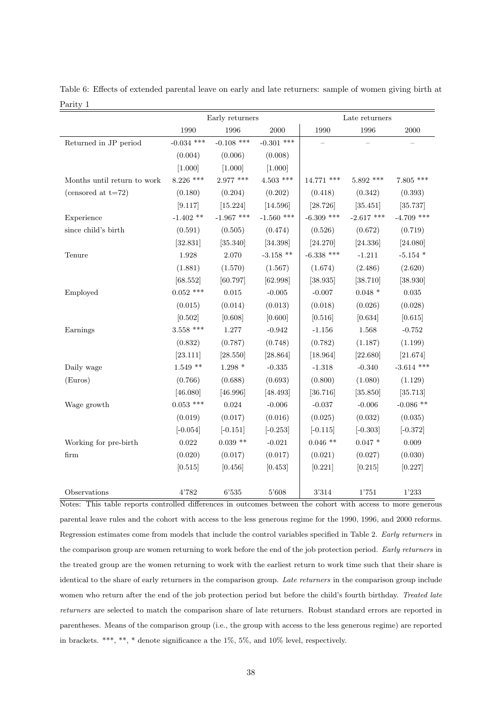|                             |              | Early returners   |              |              | Late returners |                        |
|-----------------------------|--------------|-------------------|--------------|--------------|----------------|------------------------|
|                             | 1990         | 1996              | 2000         | 1990         | 1996           | 2000                   |
| Returned in JP period       | $-0.034$ *** | $-0.108$ ***      | $-0.301$ *** |              |                |                        |
|                             | (0.004)      | (0.006)           | (0.008)      |              |                |                        |
|                             | [1.000]      | [1.000]           | [1.000]      |              |                |                        |
| Months until return to work | $8.226$ ***  | $2.977$ ***       | $4.503$ ***  | 14.771 ***   | $5.892$ ***    | $7.805$ ***            |
| (censored at $t=72$ )       | (0.180)      | (0.204)           | (0.202)      | (0.418)      | (0.342)        | (0.393)                |
|                             | [9.117]      | [15.224]          | [14.596]     | [28.726]     | [35.451]       | [35.737]               |
| Experience                  | $-1.402$ **  | $-1.967$ ***      | $-1.560$ *** | $-6.309$ *** | $-2.617$ ***   | $-4.709$ ***           |
| since child's birth         | (0.591)      | (0.505)           | (0.474)      | (0.526)      | (0.672)        | (0.719)                |
|                             | [32.831]     | [35.340]          | [34.398]     | [24.270]     | [24.336]       | [24.080]               |
| Tenure                      | $1.928\,$    | 2.070             | $-3.158$ **  | $-6.338$ *** | $-1.211$       | $-5.154$ *             |
|                             | (1.881)      | (1.570)           | (1.567)      | (1.674)      | (2.486)        | (2.620)                |
|                             | [68.552]     | [60.797]          | [62.998]     | [38.935]     | [38.710]       | [38.930]               |
| Employed                    | $0.052$ ***  | 0.015             | $-0.005$     | $-0.007$     | $0.048*$       | 0.035                  |
|                             | (0.015)      | (0.014)           | (0.013)      | (0.018)      | (0.026)        | (0.028)                |
|                             | [0.502]      | [0.608]           | [0.600]      | [0.516]      | [0.634]        | [0.615]                |
| Earnings                    | $3.558$ ***  | $1.277\,$         | $-0.942$     | $-1.156$     | 1.568          | $-0.752$               |
|                             | (0.832)      | (0.787)           | (0.748)      | (0.782)      | (1.187)        | (1.199)                |
|                             | [23.111]     | [28.550]          | [28.864]     | [18.964]     | [22.680]       | $\left[ 21.674\right]$ |
| Daily wage                  | $1.549**$    | $1.298$ $^{\ast}$ | $-0.335$     | $-1.318$     | $-0.340$       | $-3.614$ ***           |
| (Euros)                     | (0.766)      | (0.688)           | (0.693)      | (0.800)      | (1.080)        | (1.129)                |
|                             | [46.080]     | [46.996]          | [48.493]     | [36.716]     | [35.850]       | [35.713]               |
| Wage growth                 | $0.053$ ***  | 0.024             | $-0.006$     | $-0.037$     | $-0.006$       | $-0.086$ **            |
|                             | (0.019)      | (0.017)           | (0.016)      | (0.025)      | (0.032)        | (0.035)                |
|                             | $[-0.054]$   | $[-0.151]$        | $[-0.253]$   | $[-0.115]$   | $[-0.303]$     | $[-0.372]$             |
| Working for pre-birth       | 0.022        | $0.039**$         | $-0.021$     | $0.046$ **   | $0.047*$       | 0.009                  |
| firm                        | (0.020)      | (0.017)           | (0.017)      | (0.021)      | (0.027)        | (0.030)                |
|                             | [0.515]      | [0.456]           | [0.453]      | [0.221]      | [0.215]        | [0.227]                |
| Observations                | 4'782        | 6'535             | 5'608        | 3'314        | 1'751          | 1'233                  |

Table 6: Effects of extended parental leave on early and late returners: sample of women giving birth at Parity 1

Notes: This table reports controlled differences in outcomes between the cohort with access to more generous parental leave rules and the cohort with access to the less generous regime for the 1990, 1996, and 2000 reforms. Regression estimates come from models that include the control variables specified in Table 2. Early returners in the comparison group are women returning to work before the end of the job protection period. Early returners in the treated group are the women returning to work with the earliest return to work time such that their share is identical to the share of early returners in the comparison group. Late returners in the comparison group include women who return after the end of the job protection period but before the child's fourth birthday. Treated late returners are selected to match the comparison share of late returners. Robust standard errors are reported in parentheses. Means of the comparison group (i.e., the group with access to the less generous regime) are reported in brackets. \*\*\*, \*\*, \* denote significance a the 1%, 5%, and 10% level, respectively.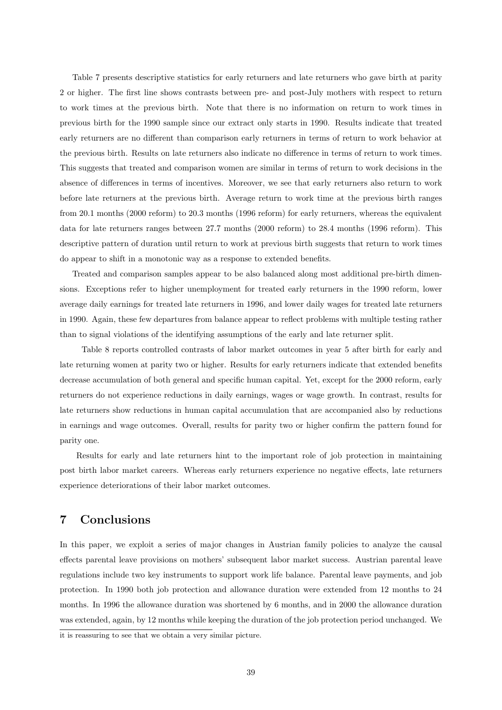Table 7 presents descriptive statistics for early returners and late returners who gave birth at parity 2 or higher. The first line shows contrasts between pre- and post-July mothers with respect to return to work times at the previous birth. Note that there is no information on return to work times in previous birth for the 1990 sample since our extract only starts in 1990. Results indicate that treated early returners are no different than comparison early returners in terms of return to work behavior at the previous birth. Results on late returners also indicate no difference in terms of return to work times. This suggests that treated and comparison women are similar in terms of return to work decisions in the absence of differences in terms of incentives. Moreover, we see that early returners also return to work before late returners at the previous birth. Average return to work time at the previous birth ranges from 20.1 months (2000 reform) to 20.3 months (1996 reform) for early returners, whereas the equivalent data for late returners ranges between 27.7 months (2000 reform) to 28.4 months (1996 reform). This descriptive pattern of duration until return to work at previous birth suggests that return to work times do appear to shift in a monotonic way as a response to extended benefits.

Treated and comparison samples appear to be also balanced along most additional pre-birth dimensions. Exceptions refer to higher unemployment for treated early returners in the 1990 reform, lower average daily earnings for treated late returners in 1996, and lower daily wages for treated late returners in 1990. Again, these few departures from balance appear to reflect problems with multiple testing rather than to signal violations of the identifying assumptions of the early and late returner split.

Table 8 reports controlled contrasts of labor market outcomes in year 5 after birth for early and late returning women at parity two or higher. Results for early returners indicate that extended benefits decrease accumulation of both general and specific human capital. Yet, except for the 2000 reform, early returners do not experience reductions in daily earnings, wages or wage growth. In contrast, results for late returners show reductions in human capital accumulation that are accompanied also by reductions in earnings and wage outcomes. Overall, results for parity two or higher confirm the pattern found for parity one.

Results for early and late returners hint to the important role of job protection in maintaining post birth labor market careers. Whereas early returners experience no negative effects, late returners experience deteriorations of their labor market outcomes.

## 7 Conclusions

In this paper, we exploit a series of major changes in Austrian family policies to analyze the causal effects parental leave provisions on mothers' subsequent labor market success. Austrian parental leave regulations include two key instruments to support work life balance. Parental leave payments, and job protection. In 1990 both job protection and allowance duration were extended from 12 months to 24 months. In 1996 the allowance duration was shortened by 6 months, and in 2000 the allowance duration was extended, again, by 12 months while keeping the duration of the job protection period unchanged. We

it is reassuring to see that we obtain a very similar picture.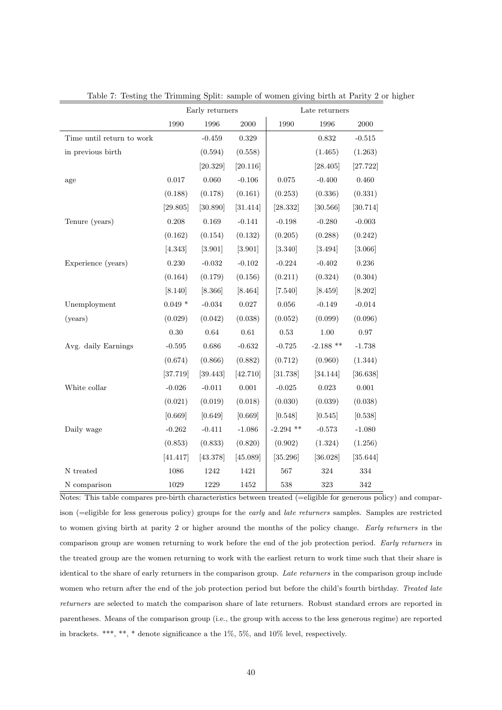|                           |          | Early returners |           |             | Late returners |           |
|---------------------------|----------|-----------------|-----------|-------------|----------------|-----------|
|                           | 1990     | 1996            | 2000      | 1990        | 1996           | 2000      |
| Time until return to work |          | $-0.459$        | 0.329     |             | 0.832          | $-0.515$  |
| in previous birth         |          | (0.594)         | (0.558)   |             | (1.465)        | (1.263)   |
|                           |          | [20.329]        | [20.116]  |             | [28.405]       | [27.722]  |
| age                       | 0.017    | 0.060           | $-0.106$  | 0.075       | $-0.400$       | 0.460     |
|                           | (0.188)  | (0.178)         | (0.161)   | (0.253)     | (0.336)        | (0.331)   |
|                           | [29.805] | [30.890]        | [31.414]  | [28.332]    | [30.566]       | [30.714]  |
| Tenure (years)            | 0.208    | 0.169           | $-0.141$  | $-0.198$    | $-0.280$       | $-0.003$  |
|                           | (0.162)  | (0.154)         | (0.132)   | (0.205)     | (0.288)        | (0.242)   |
|                           | [4.343]  | [3.901]         | [3.901]   | [3.340]     | [3.494]        | [3.066]   |
| Experience (years)        | 0.230    | $-0.032$        | $-0.102$  | $-0.224$    | $-0.402$       | 0.236     |
|                           | (0.164)  | (0.179)         | (0.156)   | (0.211)     | (0.324)        | (0.304)   |
|                           | [8.140]  | [8.366]         | [8.464]   | [7.540]     | [8.459]        | [8.202]   |
| Unemployment              | $0.049*$ | $\text{-}0.034$ | $0.027\,$ | $\,0.056\,$ | $-0.149$       | $-0.014$  |
| (years)                   | (0.029)  | (0.042)         | (0.038)   | (0.052)     | (0.099)        | (0.096)   |
|                           | 0.30     | 0.64            | 0.61      | 0.53        | 1.00           | 0.97      |
| Avg. daily Earnings       | $-0.595$ | 0.686           | $-0.632$  | $-0.725$    | $-2.188$ **    | $-1.738$  |
|                           | (0.674)  | (0.866)         | (0.882)   | (0.712)     | (0.960)        | (1.344)   |
|                           | [37.719] | [39.443]        | [42.710]  | [31.738]    | [34.144]       | [36.638]  |
| White collar              | $-0.026$ | $-0.011$        | $0.001\,$ | $-0.025$    | 0.023          | $0.001\,$ |
|                           | (0.021)  | (0.019)         | (0.018)   | (0.030)     | (0.039)        | (0.038)   |
|                           | [0.669]  | [0.649]         | [0.669]   | [0.548]     | [0.545]        | [0.538]   |
| Daily wage                | $-0.262$ | $-0.411$        | $-1.086$  | $-2.294$ ** | $-0.573$       | $-1.080$  |
|                           | (0.853)  | (0.833)         | (0.820)   | (0.902)     | (1.324)        | (1.256)   |
|                           | [41.417] | [43.378]        | [45.089]  | [35.296]    | [36.028]       | [35.644]  |
| ${\cal N}$ treated        | 1086     | 1242            | 1421      | 567         | $324\,$        | $334\,$   |
| N comparison              | $1029\,$ | 1229            | 1452      | 538         | $323\,$        | $342\,$   |

Table 7: Testing the Trimming Split: sample of women giving birth at Parity 2 or higher

Notes: This table compares pre-birth characteristics between treated (=eligible for generous policy) and comparison (=eligible for less generous policy) groups for the early and late returners samples. Samples are restricted to women giving birth at parity 2 or higher around the months of the policy change. Early returners in the comparison group are women returning to work before the end of the job protection period. Early returners in the treated group are the women returning to work with the earliest return to work time such that their share is identical to the share of early returners in the comparison group. Late returners in the comparison group include women who return after the end of the job protection period but before the child's fourth birthday. Treated late returners are selected to match the comparison share of late returners. Robust standard errors are reported in parentheses. Means of the comparison group (i.e., the group with access to the less generous regime) are reported in brackets. \*\*\*, \*\*, \* denote significance a the 1%, 5%, and 10% level, respectively.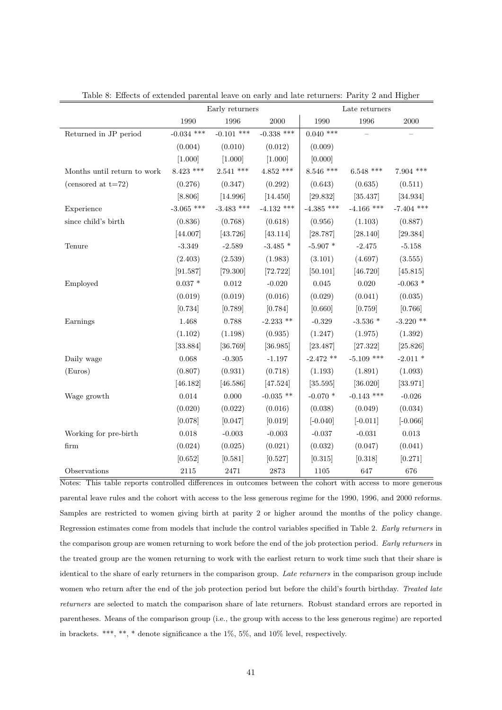|                             |                   | Early returners |              |                  | Late returners   |              |
|-----------------------------|-------------------|-----------------|--------------|------------------|------------------|--------------|
|                             | 1990              | 1996            | $2000\,$     | 1990             | 1996             | 2000         |
| Returned in JP period       | $-0.034$ ***      | $-0.101$ ***    | $-0.338$ *** | $0.040$ ***      |                  |              |
|                             | (0.004)           | (0.010)         | (0.012)      | (0.009)          |                  |              |
|                             | [1.000]           | [1.000]         | [1.000]      | [0.000]          |                  |              |
| Months until return to work | $8.423$ ***       | $2.541$ ***     | $4.852$ ***  | $8.546$ ***      | $6.548$ ***      | $7.904$ ***  |
| (censored at $t=72$ )       | (0.276)           | (0.347)         | (0.292)      | (0.643)          | (0.635)          | (0.511)      |
|                             | [8.806]           | [14.996]        | [14.450]     | [29.832]         | [35.437]         | [34.934]     |
| Experience                  | $-3.065$ ***      | $-3.483$ ***    | $-4.132$ *** | $-4.385$ ***     | $-4.166$ ***     | $-7.404$ *** |
| since child's birth         | (0.836)           | (0.768)         | (0.618)      | (0.956)          | (1.103)          | (0.887)      |
|                             | [44.007]          | [43.726]        | [43.114]     | [28.787]         | [28.140]         | [29.384]     |
| Tenure                      | $-3.349$          | $-2.589$        | $-3.485$ *   | $-5.907$ *       | $-2.475$         | $-5.158$     |
|                             | (2.403)           | (2.539)         | (1.983)      | (3.101)          | (4.697)          | (3.555)      |
|                             | [91.587]          | [79.300]        | [72.722]     | [50.101]         | [46.720]         | [45.815]     |
| Employed                    | $0.037$ $^{\ast}$ | $\rm 0.012$     | $-0.020$     | $\,0.045\,$      | $0.020\,$        | $-0.063$ *   |
|                             | (0.019)           | (0.019)         | (0.016)      | (0.029)          | (0.041)          | (0.035)      |
|                             | [0.734]           | [0.789]         | [0.784]      | [0.660]          | [0.759]          | [0.766]      |
| Earnings                    | 1.468             | 0.788           | $-2.233$ **  | $-0.329$         | -3.536 $^{\ast}$ | $-3.220$ **  |
|                             | (1.102)           | (1.198)         | (0.935)      | (1.247)          | (1.975)          | (1.392)      |
|                             | [33.884]          | [36.769]        | [36.985]     | [23.487]         | [27.322]         | [25.826]     |
| Daily wage                  | 0.068             | $-0.305$        | $-1.197$     | $-2.472$ **      | $-5.109$ ***     | $-2.011*$    |
| (Euros)                     | (0.807)           | (0.931)         | (0.718)      | (1.193)          | (1.891)          | (1.093)      |
|                             | [46.182]          | [46.586]        | [47.524]     | [35.595]         | [36.020]         | [33.971]     |
| Wage growth                 | $0.014\,$         | $0.000\,$       | $-0.035$ **  | -0.070 $^{\ast}$ | $-0.143$ ***     | $-0.026$     |
|                             | (0.020)           | (0.022)         | (0.016)      | (0.038)          | (0.049)          | (0.034)      |
|                             | [0.078]           | [0.047]         | [0.019]      | $[-0.040]$       | $[-0.011]$       | $[-0.066]$   |
| Working for pre-birth       | $0.018\,$         | $-0.003$        | $-0.003$     | $-0.037$         | $-0.031$         | $\,0.013\,$  |
| $\operatorname{firm}$       | (0.024)           | (0.025)         | (0.021)      | (0.032)          | (0.047)          | (0.041)      |
|                             | [0.652]           | [0.581]         | [0.527]      | [0.315]          | [0.318]          | [0.271]      |
| Observations                | $\bf 2115$        | 2471            | 2873         | $1105\,$         | 647              | 676          |

Table 8: Effects of extended parental leave on early and late returners: Parity 2 and Higher

Notes: This table reports controlled differences in outcomes between the cohort with access to more generous parental leave rules and the cohort with access to the less generous regime for the 1990, 1996, and 2000 reforms. Samples are restricted to women giving birth at parity 2 or higher around the months of the policy change. Regression estimates come from models that include the control variables specified in Table 2. Early returners in the comparison group are women returning to work before the end of the job protection period. Early returners in the treated group are the women returning to work with the earliest return to work time such that their share is identical to the share of early returners in the comparison group. Late returners in the comparison group include women who return after the end of the job protection period but before the child's fourth birthday. Treated late returners are selected to match the comparison share of late returners. Robust standard errors are reported in parentheses. Means of the comparison group (i.e., the group with access to the less generous regime) are reported in brackets. \*\*\*, \*\*, \* denote significance a the 1%, 5%, and 10% level, respectively.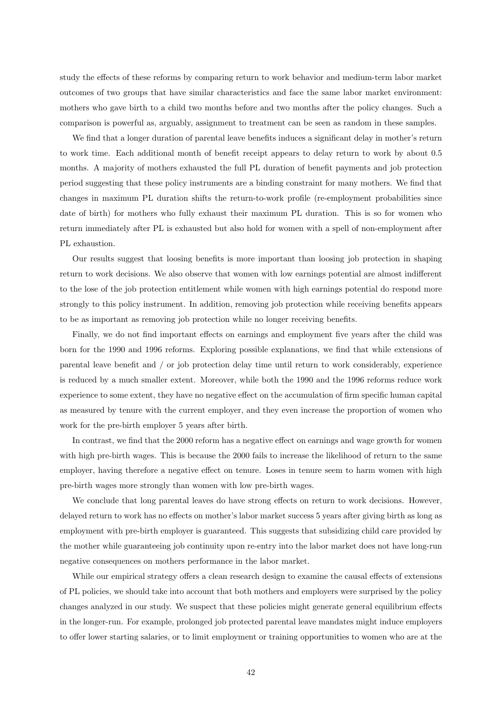study the effects of these reforms by comparing return to work behavior and medium-term labor market outcomes of two groups that have similar characteristics and face the same labor market environment: mothers who gave birth to a child two months before and two months after the policy changes. Such a comparison is powerful as, arguably, assignment to treatment can be seen as random in these samples.

We find that a longer duration of parental leave benefits induces a significant delay in mother's return to work time. Each additional month of benefit receipt appears to delay return to work by about 0.5 months. A majority of mothers exhausted the full PL duration of benefit payments and job protection period suggesting that these policy instruments are a binding constraint for many mothers. We find that changes in maximum PL duration shifts the return-to-work profile (re-employment probabilities since date of birth) for mothers who fully exhaust their maximum PL duration. This is so for women who return immediately after PL is exhausted but also hold for women with a spell of non-employment after PL exhaustion.

Our results suggest that loosing benefits is more important than loosing job protection in shaping return to work decisions. We also observe that women with low earnings potential are almost indifferent to the lose of the job protection entitlement while women with high earnings potential do respond more strongly to this policy instrument. In addition, removing job protection while receiving benefits appears to be as important as removing job protection while no longer receiving benefits.

Finally, we do not find important effects on earnings and employment five years after the child was born for the 1990 and 1996 reforms. Exploring possible explanations, we find that while extensions of parental leave benefit and / or job protection delay time until return to work considerably, experience is reduced by a much smaller extent. Moreover, while both the 1990 and the 1996 reforms reduce work experience to some extent, they have no negative effect on the accumulation of firm specific human capital as measured by tenure with the current employer, and they even increase the proportion of women who work for the pre-birth employer 5 years after birth.

In contrast, we find that the 2000 reform has a negative effect on earnings and wage growth for women with high pre-birth wages. This is because the 2000 fails to increase the likelihood of return to the same employer, having therefore a negative effect on tenure. Loses in tenure seem to harm women with high pre-birth wages more strongly than women with low pre-birth wages.

We conclude that long parental leaves do have strong effects on return to work decisions. However, delayed return to work has no effects on mother's labor market success 5 years after giving birth as long as employment with pre-birth employer is guaranteed. This suggests that subsidizing child care provided by the mother while guaranteeing job continuity upon re-entry into the labor market does not have long-run negative consequences on mothers performance in the labor market.

While our empirical strategy offers a clean research design to examine the causal effects of extensions of PL policies, we should take into account that both mothers and employers were surprised by the policy changes analyzed in our study. We suspect that these policies might generate general equilibrium effects in the longer-run. For example, prolonged job protected parental leave mandates might induce employers to offer lower starting salaries, or to limit employment or training opportunities to women who are at the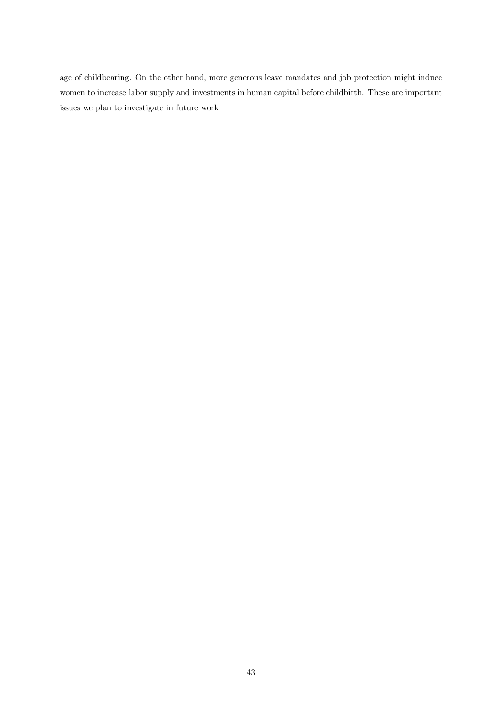age of childbearing. On the other hand, more generous leave mandates and job protection might induce women to increase labor supply and investments in human capital before childbirth. These are important issues we plan to investigate in future work.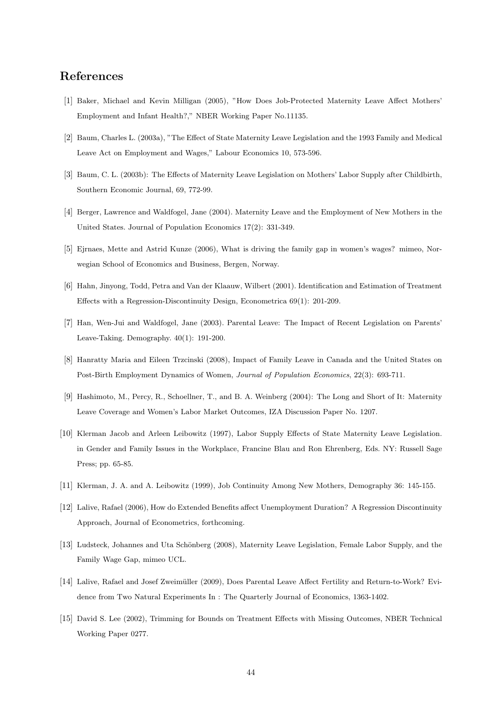## References

- [1] Baker, Michael and Kevin Milligan (2005), "How Does Job-Protected Maternity Leave Affect Mothers' Employment and Infant Health?," NBER Working Paper No.11135.
- [2] Baum, Charles L. (2003a), "The Effect of State Maternity Leave Legislation and the 1993 Family and Medical Leave Act on Employment and Wages," Labour Economics 10, 573-596.
- [3] Baum, C. L. (2003b): The Effects of Maternity Leave Legislation on Mothers' Labor Supply after Childbirth, Southern Economic Journal, 69, 772-99.
- [4] Berger, Lawrence and Waldfogel, Jane (2004). Maternity Leave and the Employment of New Mothers in the United States. Journal of Population Economics 17(2): 331-349.
- [5] Ejrnaes, Mette and Astrid Kunze (2006), What is driving the family gap in women's wages? mimeo, Norwegian School of Economics and Business, Bergen, Norway.
- [6] Hahn, Jinyong, Todd, Petra and Van der Klaauw, Wilbert (2001). Identification and Estimation of Treatment Effects with a Regression-Discontinuity Design, Econometrica 69(1): 201-209.
- [7] Han, Wen-Jui and Waldfogel, Jane (2003). Parental Leave: The Impact of Recent Legislation on Parents' Leave-Taking. Demography. 40(1): 191-200.
- [8] Hanratty Maria and Eileen Trzcinski (2008), Impact of Family Leave in Canada and the United States on Post-Birth Employment Dynamics of Women, Journal of Population Economics, 22(3): 693-711.
- [9] Hashimoto, M., Percy, R., Schoellner, T., and B. A. Weinberg (2004): The Long and Short of It: Maternity Leave Coverage and Women's Labor Market Outcomes, IZA Discussion Paper No. 1207.
- [10] Klerman Jacob and Arleen Leibowitz (1997), Labor Supply Effects of State Maternity Leave Legislation. in Gender and Family Issues in the Workplace, Francine Blau and Ron Ehrenberg, Eds. NY: Russell Sage Press; pp. 65-85.
- [11] Klerman, J. A. and A. Leibowitz (1999), Job Continuity Among New Mothers, Demography 36: 145-155.
- [12] Lalive, Rafael (2006), How do Extended Benefits affect Unemployment Duration? A Regression Discontinuity Approach, Journal of Econometrics, forthcoming.
- [13] Ludsteck, Johannes and Uta Schönberg (2008), Maternity Leave Legislation, Female Labor Supply, and the Family Wage Gap, mimeo UCL.
- [14] Lalive, Rafael and Josef Zweimüller (2009), Does Parental Leave Affect Fertility and Return-to-Work? Evidence from Two Natural Experiments In : The Quarterly Journal of Economics, 1363-1402.
- [15] David S. Lee (2002), Trimming for Bounds on Treatment Effects with Missing Outcomes, NBER Technical Working Paper 0277.